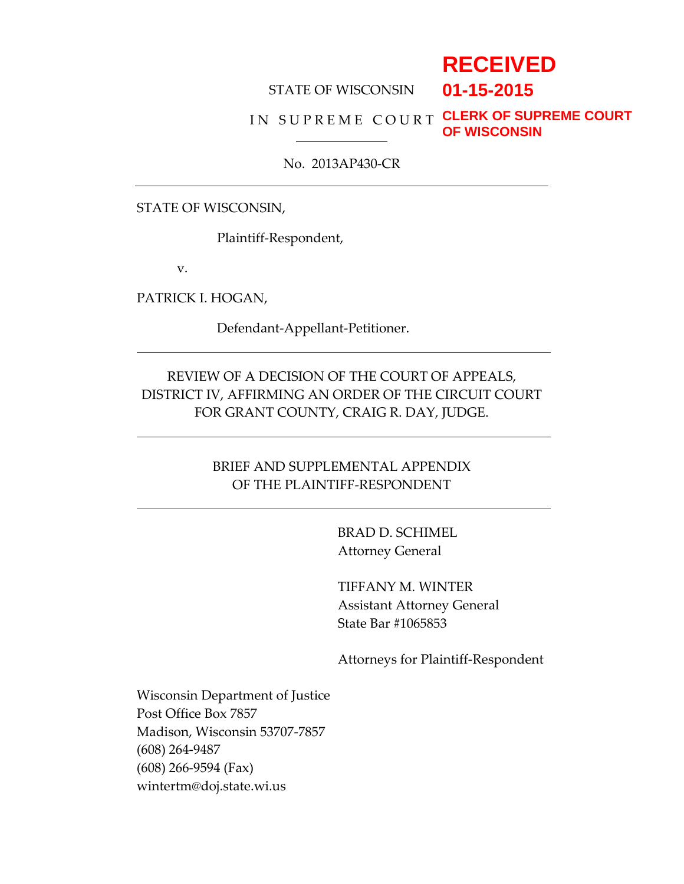# **RECEIVED**

**01-15-2015**

#### STATE OF WISCONSIN

#### IN SUPREME COURT CLERK OF SUPREME COURT **OF WISCONSIN**

#### No. 2013AP430-CR

STATE OF WISCONSIN,

Plaintiff-Respondent,

v.

PATRICK I. HOGAN,

Defendant-Appellant-Petitioner.

# REVIEW OF A DECISION OF THE COURT OF APPEALS, DISTRICT IV, AFFIRMING AN ORDER OF THE CIRCUIT COURT FOR GRANT COUNTY, CRAIG R. DAY, JUDGE.

### BRIEF AND SUPPLEMENTAL APPENDIX OF THE PLAINTIFF-RESPONDENT

BRAD D. SCHIMEL Attorney General

TIFFANY M. WINTER Assistant Attorney General State Bar #1065853

Attorneys for Plaintiff-Respondent

Wisconsin Department of Justice Post Office Box 7857 Madison, Wisconsin 53707-7857 (608) 264-9487 (608) 266-9594 (Fax) wintertm@doj.state.wi.us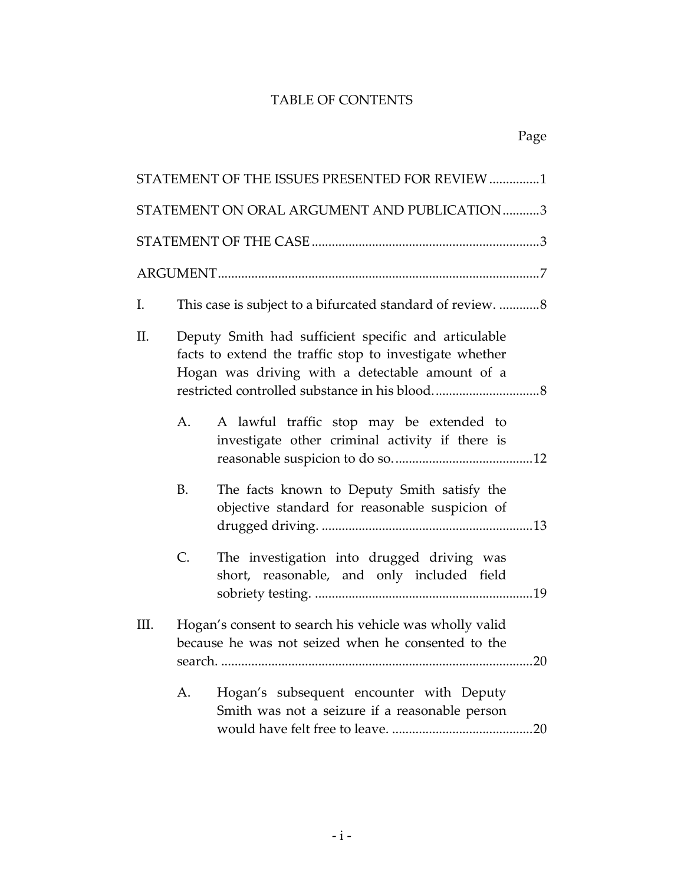# TABLE OF CONTENTS

|      |                | STATEMENT OF THE ISSUES PRESENTED FOR REVIEW 1                                                                                                                     |
|------|----------------|--------------------------------------------------------------------------------------------------------------------------------------------------------------------|
|      |                | STATEMENT ON ORAL ARGUMENT AND PUBLICATION3                                                                                                                        |
|      |                |                                                                                                                                                                    |
|      |                |                                                                                                                                                                    |
| I.   |                | This case is subject to a bifurcated standard of review. 8                                                                                                         |
| ΙΙ.  |                | Deputy Smith had sufficient specific and articulable<br>facts to extend the traffic stop to investigate whether<br>Hogan was driving with a detectable amount of a |
|      | A <sub>1</sub> | A lawful traffic stop may be extended to<br>investigate other criminal activity if there is                                                                        |
|      | <b>B.</b>      | The facts known to Deputy Smith satisfy the<br>objective standard for reasonable suspicion of                                                                      |
|      | C.             | The investigation into drugged driving was<br>short, reasonable, and only included field                                                                           |
| III. |                | Hogan's consent to search his vehicle was wholly valid<br>because he was not seized when he consented to the                                                       |
|      | A.             | Hogan's subsequent encounter with Deputy<br>Smith was not a seizure if a reasonable person                                                                         |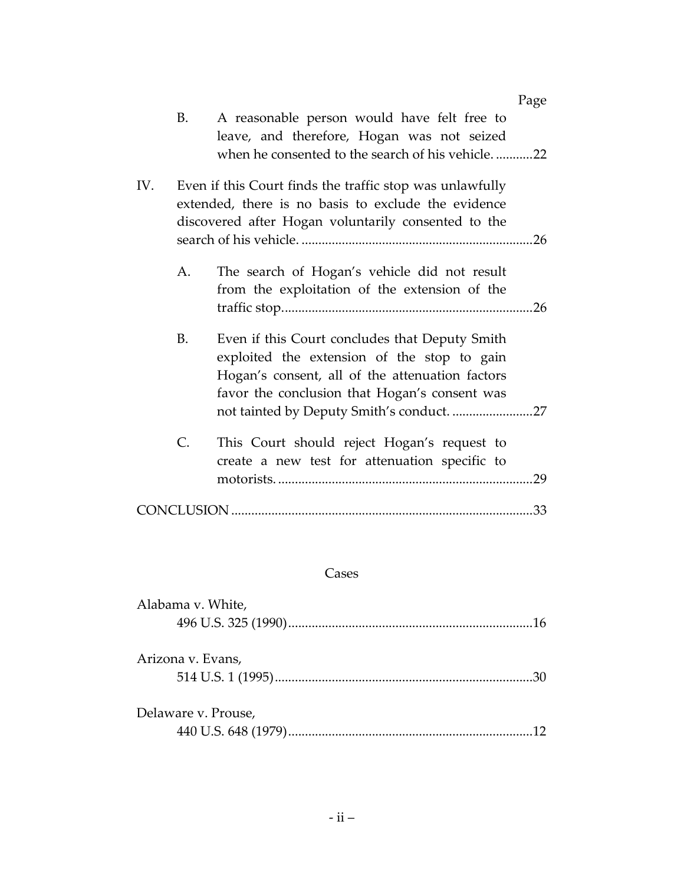|     |    |                                                                                                                 | Page |
|-----|----|-----------------------------------------------------------------------------------------------------------------|------|
|     | В. | A reasonable person would have felt free to                                                                     |      |
|     |    | leave, and therefore, Hogan was not seized                                                                      |      |
|     |    | when he consented to the search of his vehicle22                                                                |      |
| IV. |    | Even if this Court finds the traffic stop was unlawfully<br>extended, there is no basis to exclude the evidence |      |
|     |    | discovered after Hogan voluntarily consented to the                                                             |      |
|     |    |                                                                                                                 |      |
|     | А. | The search of Hogan's vehicle did not result                                                                    |      |
|     |    | from the exploitation of the extension of the                                                                   |      |
|     |    |                                                                                                                 |      |
|     | B. | Even if this Court concludes that Deputy Smith                                                                  |      |
|     |    | exploited the extension of the stop to gain                                                                     |      |
|     |    | Hogan's consent, all of the attenuation factors                                                                 |      |
|     |    | favor the conclusion that Hogan's consent was                                                                   |      |
|     |    |                                                                                                                 |      |
|     | C. | This Court should reject Hogan's request to                                                                     |      |
|     |    | create a new test for attenuation specific to                                                                   |      |
|     |    |                                                                                                                 | 29   |
|     |    |                                                                                                                 | 33   |
|     |    |                                                                                                                 |      |

# Cases

| Alabama v. White,   |  |
|---------------------|--|
|                     |  |
|                     |  |
| Arizona v. Evans,   |  |
|                     |  |
|                     |  |
| Delaware v. Prouse, |  |
|                     |  |
|                     |  |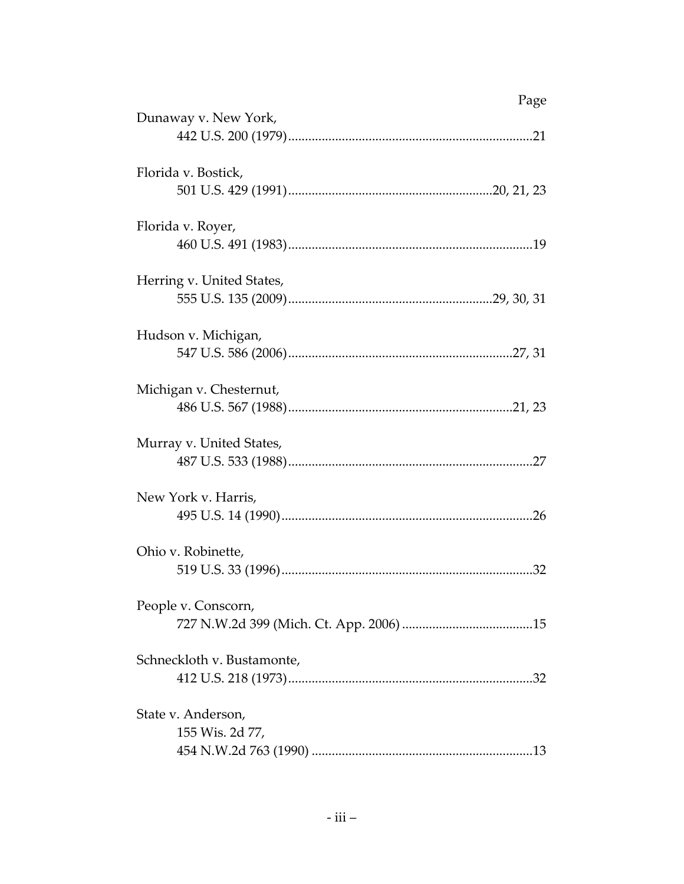| Dunaway v. New York,       | Page |
|----------------------------|------|
|                            |      |
| Florida v. Bostick,        |      |
|                            |      |
| Florida v. Royer,          |      |
|                            |      |
| Herring v. United States,  |      |
|                            |      |
| Hudson v. Michigan,        |      |
|                            |      |
| Michigan v. Chesternut,    |      |
|                            |      |
| Murray v. United States,   |      |
|                            |      |
| New York v. Harris,        |      |
|                            |      |
| Ohio v. Robinette,         |      |
|                            |      |
| People v. Conscorn,        |      |
|                            |      |
| Schneckloth v. Bustamonte, |      |
|                            |      |
| State v. Anderson,         |      |
| 155 Wis. 2d 77,            |      |
|                            |      |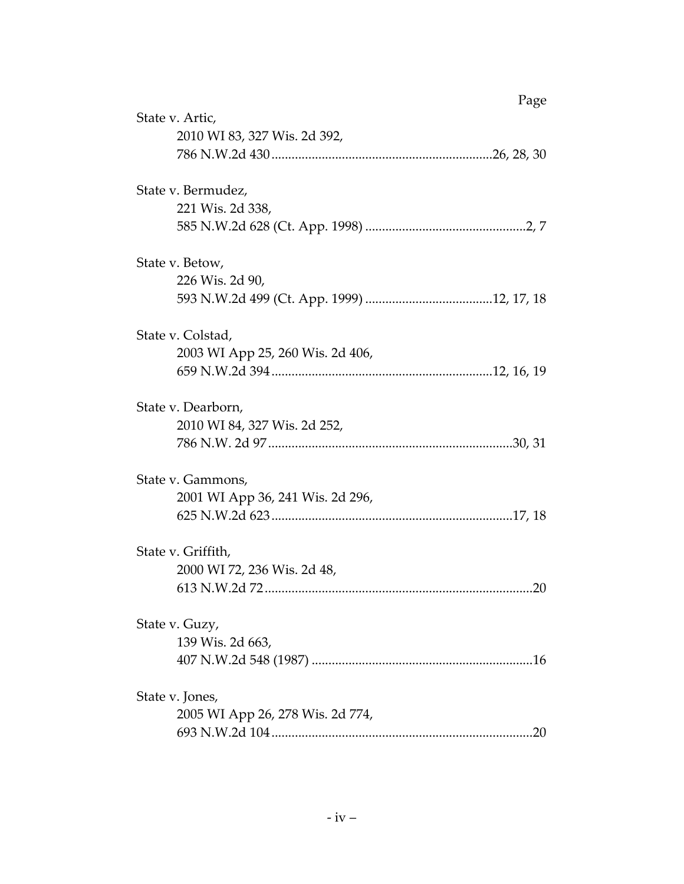| Page                             |  |
|----------------------------------|--|
| State v. Artic,                  |  |
| 2010 WI 83, 327 Wis. 2d 392,     |  |
|                                  |  |
| State v. Bermudez,               |  |
| 221 Wis. 2d 338,                 |  |
|                                  |  |
| State v. Betow,                  |  |
| 226 Wis. 2d 90,                  |  |
|                                  |  |
| State v. Colstad,                |  |
| 2003 WI App 25, 260 Wis. 2d 406, |  |
|                                  |  |
| State v. Dearborn,               |  |
| 2010 WI 84, 327 Wis. 2d 252,     |  |
|                                  |  |
| State v. Gammons,                |  |
| 2001 WI App 36, 241 Wis. 2d 296, |  |
|                                  |  |
| State v. Griffith,               |  |
| 2000 WI 72, 236 Wis. 2d 48,      |  |
| .20                              |  |
| State v. Guzy,                   |  |
| 139 Wis. 2d 663,                 |  |
|                                  |  |
| State v. Jones,                  |  |
| 2005 WI App 26, 278 Wis. 2d 774, |  |
| .20                              |  |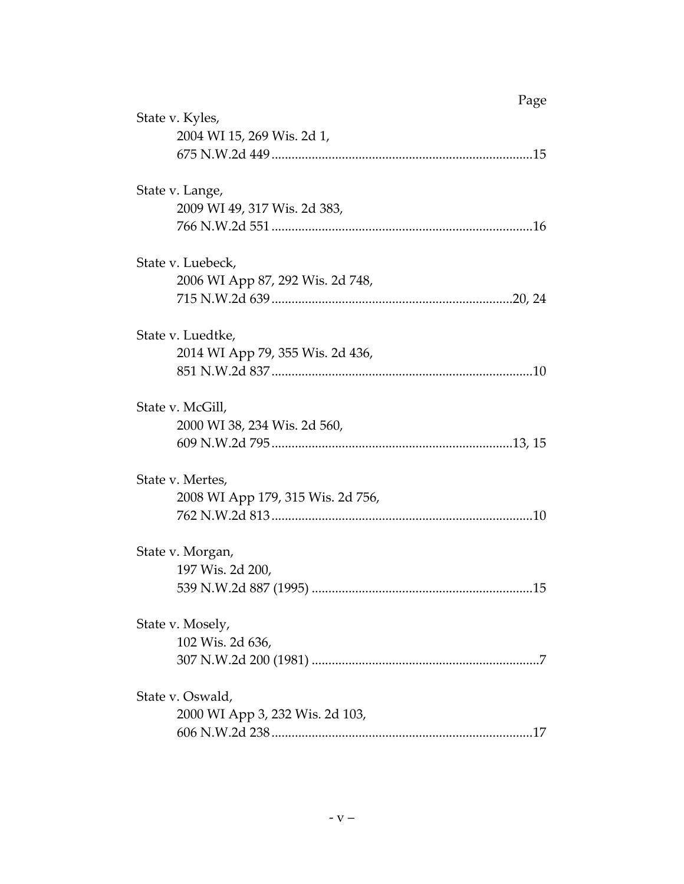|                                   | Page |
|-----------------------------------|------|
| State v. Kyles,                   |      |
| 2004 WI 15, 269 Wis. 2d 1,        |      |
|                                   |      |
| State v. Lange,                   |      |
| 2009 WI 49, 317 Wis. 2d 383,      |      |
|                                   |      |
| State v. Luebeck,                 |      |
| 2006 WI App 87, 292 Wis. 2d 748,  |      |
|                                   |      |
|                                   |      |
| State v. Luedtke,                 |      |
| 2014 WI App 79, 355 Wis. 2d 436,  |      |
|                                   |      |
| State v. McGill,                  |      |
| 2000 WI 38, 234 Wis. 2d 560,      |      |
|                                   |      |
| State v. Mertes,                  |      |
| 2008 WI App 179, 315 Wis. 2d 756, |      |
|                                   |      |
|                                   |      |
| State v. Morgan,                  |      |
| 197 Wis. 2d 200,                  |      |
| 539 N.W.2d 887 (1995)             | 15   |
| State v. Mosely,                  |      |
| 102 Wis. 2d 636,                  |      |
|                                   |      |
| State v. Oswald,                  |      |
| 2000 WI App 3, 232 Wis. 2d 103,   |      |
|                                   |      |
|                                   |      |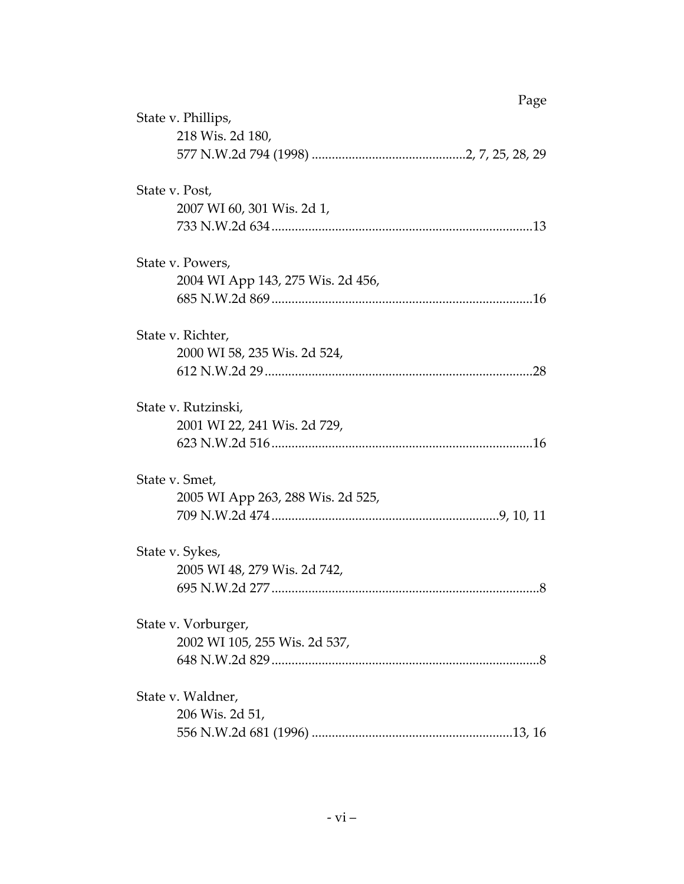| Page                              |  |
|-----------------------------------|--|
| State v. Phillips,                |  |
| 218 Wis. 2d 180,                  |  |
|                                   |  |
| State v. Post,                    |  |
| 2007 WI 60, 301 Wis. 2d 1,        |  |
|                                   |  |
| State v. Powers,                  |  |
| 2004 WI App 143, 275 Wis. 2d 456, |  |
|                                   |  |
| State v. Richter,                 |  |
| 2000 WI 58, 235 Wis. 2d 524,      |  |
|                                   |  |
| State v. Rutzinski,               |  |
| 2001 WI 22, 241 Wis. 2d 729,      |  |
|                                   |  |
| State v. Smet,                    |  |
| 2005 WI App 263, 288 Wis. 2d 525, |  |
|                                   |  |
| State v. Sykes,                   |  |
| 2005 WI 48, 279 Wis. 2d 742,      |  |
|                                   |  |
| State v. Vorburger,               |  |
| 2002 WI 105, 255 Wis. 2d 537,     |  |
|                                   |  |
| State v. Waldner,                 |  |
| 206 Wis. 2d 51,                   |  |
|                                   |  |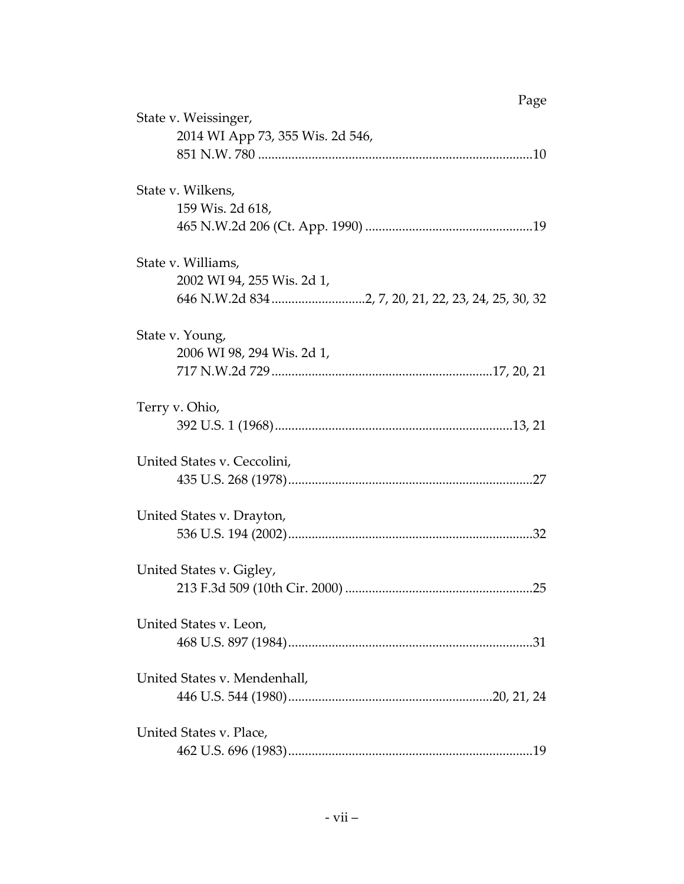| Page                                                |  |
|-----------------------------------------------------|--|
| State v. Weissinger,                                |  |
| 2014 WI App 73, 355 Wis. 2d 546,                    |  |
|                                                     |  |
| State v. Wilkens,                                   |  |
| 159 Wis. 2d 618,                                    |  |
|                                                     |  |
| State v. Williams,                                  |  |
| 2002 WI 94, 255 Wis. 2d 1,                          |  |
| 646 N.W.2d 834 2, 7, 20, 21, 22, 23, 24, 25, 30, 32 |  |
| State v. Young,                                     |  |
| 2006 WI 98, 294 Wis. 2d 1,                          |  |
|                                                     |  |
| Terry v. Ohio,                                      |  |
|                                                     |  |
| United States v. Ceccolini,                         |  |
|                                                     |  |
| United States v. Drayton,                           |  |
|                                                     |  |
| United States v. Gigley,                            |  |
|                                                     |  |
| United States v. Leon,                              |  |
|                                                     |  |
| United States v. Mendenhall,                        |  |
|                                                     |  |
| United States v. Place,                             |  |
|                                                     |  |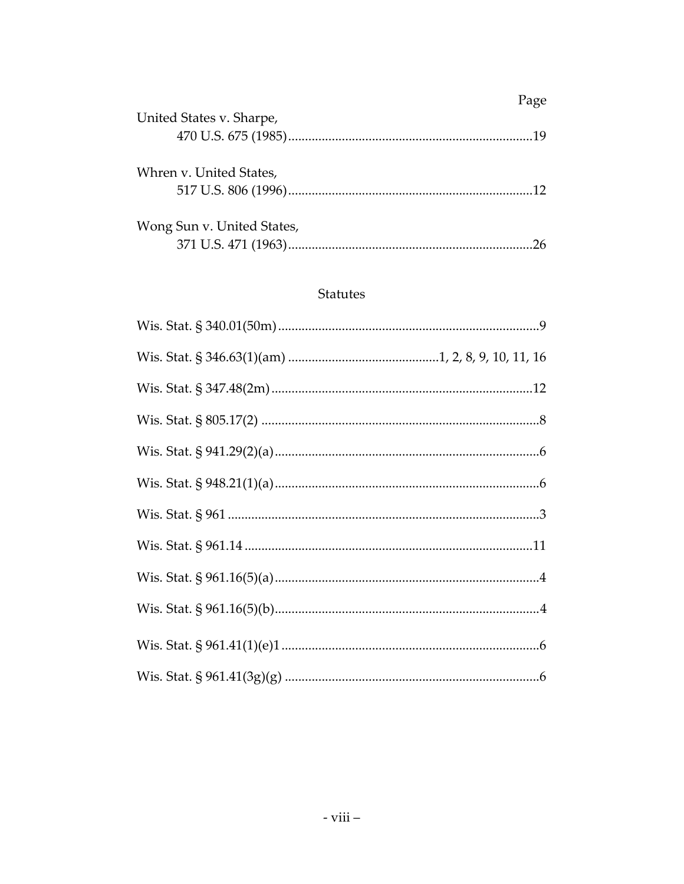|                            | Page |
|----------------------------|------|
| United States v. Sharpe,   | 19   |
| Whren v. United States,    | 12.  |
| Wong Sun v. United States, | 26   |

### **Statutes**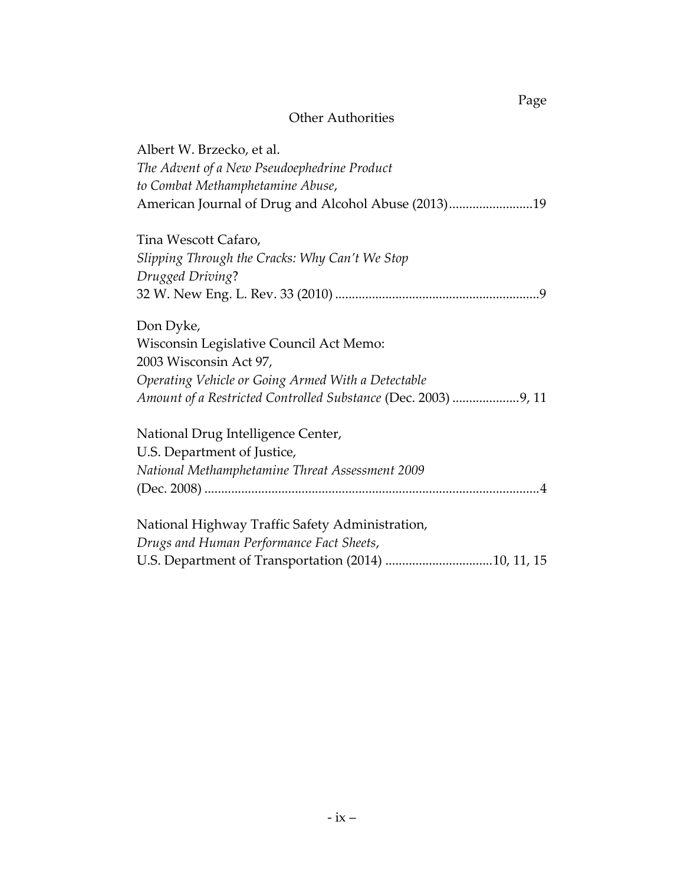# Other Authorities

Page

| Albert W. Brzecko, et al.<br>The Advent of a New Pseudoephedrine Product<br>to Combat Methamphetamine Abuse,<br>American Journal of Drug and Alcohol Abuse (2013)19 |
|---------------------------------------------------------------------------------------------------------------------------------------------------------------------|
| Tina Wescott Cafaro,                                                                                                                                                |
| Slipping Through the Cracks: Why Can't We Stop                                                                                                                      |
| Drugged Driving?                                                                                                                                                    |
|                                                                                                                                                                     |
| Don Dyke,                                                                                                                                                           |
| Wisconsin Legislative Council Act Memo:                                                                                                                             |
| 2003 Wisconsin Act 97,                                                                                                                                              |
| Operating Vehicle or Going Armed With a Detectable                                                                                                                  |
| Amount of a Restricted Controlled Substance (Dec. 2003) 9, 11                                                                                                       |
| National Drug Intelligence Center,                                                                                                                                  |
| U.S. Department of Justice,                                                                                                                                         |
| National Methamphetamine Threat Assessment 2009                                                                                                                     |
|                                                                                                                                                                     |
| National Highway Traffic Safety Administration,                                                                                                                     |
| Drugs and Human Performance Fact Sheets,                                                                                                                            |
| U.S. Department of Transportation (2014) 10, 11, 15                                                                                                                 |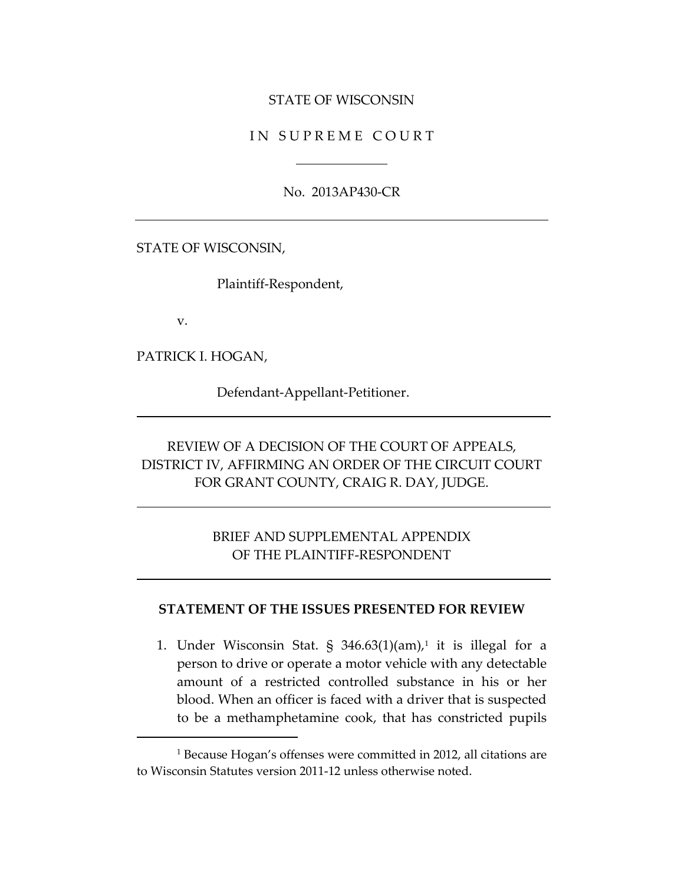#### STATE OF WISCONSIN

#### IN SUPREME COURT

No. 2013AP430-CR

STATE OF WISCONSIN,

Plaintiff-Respondent,

v.

 $\overline{a}$ 

PATRICK I. HOGAN,

Defendant-Appellant-Petitioner.

# REVIEW OF A DECISION OF THE COURT OF APPEALS, DISTRICT IV, AFFIRMING AN ORDER OF THE CIRCUIT COURT FOR GRANT COUNTY, CRAIG R. DAY, JUDGE.

### BRIEF AND SUPPLEMENTAL APPENDIX OF THE PLAINTIFF-RESPONDENT

#### **STATEMENT OF THE ISSUES PRESENTED FOR REVIEW**

1. Under Wisconsin Stat. § 346.63(1)(am), 1 it is illegal for a person to drive or operate a motor vehicle with any detectable amount of a restricted controlled substance in his or her blood. When an officer is faced with a driver that is suspected to be a methamphetamine cook, that has constricted pupils

<sup>&</sup>lt;sup>1</sup> Because Hogan's offenses were committed in 2012, all citations are to Wisconsin Statutes version 2011-12 unless otherwise noted.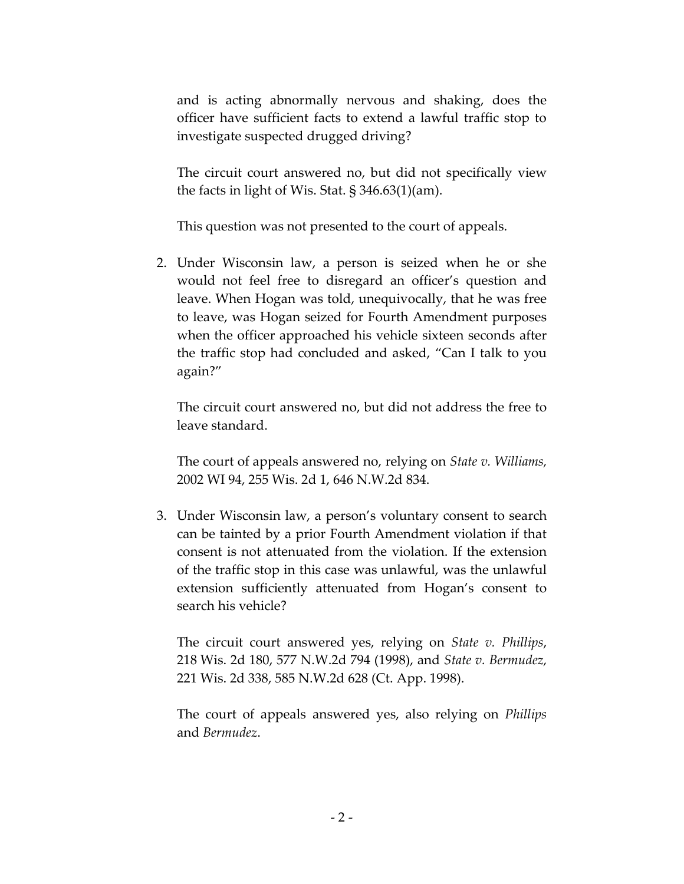and is acting abnormally nervous and shaking, does the officer have sufficient facts to extend a lawful traffic stop to investigate suspected drugged driving?

The circuit court answered no, but did not specifically view the facts in light of Wis. Stat. § 346.63(1)(am).

This question was not presented to the court of appeals.

2. Under Wisconsin law, a person is seized when he or she would not feel free to disregard an officer's question and leave. When Hogan was told, unequivocally, that he was free to leave, was Hogan seized for Fourth Amendment purposes when the officer approached his vehicle sixteen seconds after the traffic stop had concluded and asked, "Can I talk to you again?"

The circuit court answered no, but did not address the free to leave standard.

The court of appeals answered no, relying on *State v. Williams,*  2002 WI 94, 255 Wis. 2d 1, 646 N.W.2d 834.

3. Under Wisconsin law, a person's voluntary consent to search can be tainted by a prior Fourth Amendment violation if that consent is not attenuated from the violation. If the extension of the traffic stop in this case was unlawful, was the unlawful extension sufficiently attenuated from Hogan's consent to search his vehicle?

The circuit court answered yes, relying on *State v. Phillips*, 218 Wis. 2d 180, 577 N.W.2d 794 (1998), and *State v. Bermudez,*  221 Wis. 2d 338, 585 N.W.2d 628 (Ct. App. 1998).

The court of appeals answered yes, also relying on *Phillips* and *Bermudez*.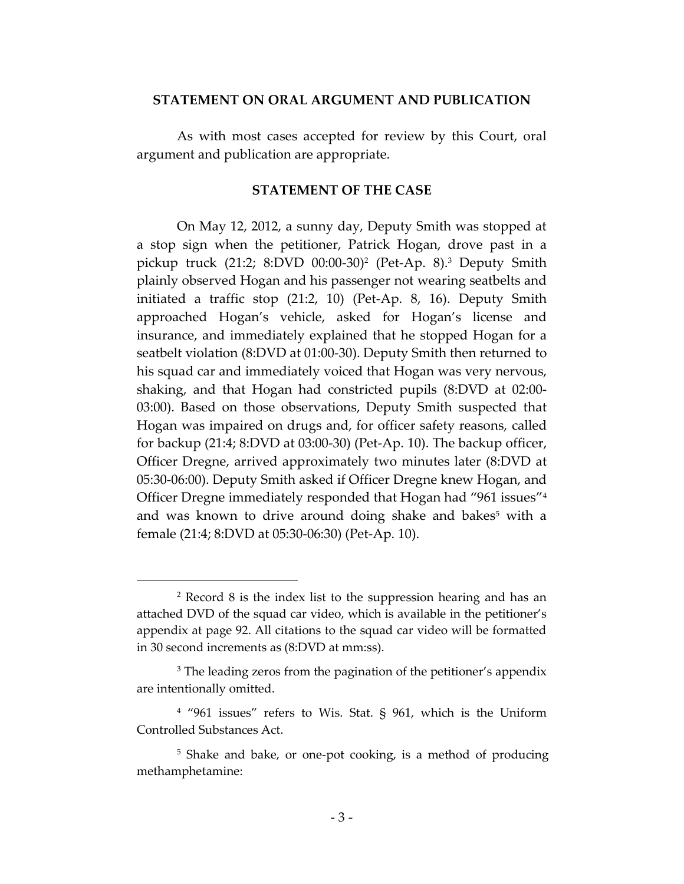#### **STATEMENT ON ORAL ARGUMENT AND PUBLICATION**

As with most cases accepted for review by this Court, oral argument and publication are appropriate.

#### **STATEMENT OF THE CASE**

On May 12, 2012, a sunny day, Deputy Smith was stopped at a stop sign when the petitioner, Patrick Hogan, drove past in a pickup truck (21:2; 8:DVD 00:00-30)<sup>2</sup> (Pet-Ap. 8). <sup>3</sup> Deputy Smith plainly observed Hogan and his passenger not wearing seatbelts and initiated a traffic stop (21:2, 10) (Pet-Ap. 8, 16). Deputy Smith approached Hogan's vehicle, asked for Hogan's license and insurance, and immediately explained that he stopped Hogan for a seatbelt violation (8:DVD at 01:00-30). Deputy Smith then returned to his squad car and immediately voiced that Hogan was very nervous, shaking, and that Hogan had constricted pupils (8:DVD at 02:00- 03:00). Based on those observations, Deputy Smith suspected that Hogan was impaired on drugs and, for officer safety reasons, called for backup (21:4; 8:DVD at 03:00-30) (Pet-Ap. 10). The backup officer, Officer Dregne, arrived approximately two minutes later (8:DVD at 05:30-06:00). Deputy Smith asked if Officer Dregne knew Hogan, and Officer Dregne immediately responded that Hogan had "961 issues"<sup>4</sup> and was known to drive around doing shake and bakes<sup>5</sup> with a female (21:4; 8:DVD at 05:30-06:30) (Pet-Ap. 10).

<sup>2</sup> Record 8 is the index list to the suppression hearing and has an attached DVD of the squad car video, which is available in the petitioner's appendix at page 92. All citations to the squad car video will be formatted in 30 second increments as (8:DVD at mm:ss).

<sup>&</sup>lt;sup>3</sup> The leading zeros from the pagination of the petitioner's appendix are intentionally omitted.

<sup>4</sup> "961 issues" refers to Wis. Stat. § 961, which is the Uniform Controlled Substances Act.

<sup>&</sup>lt;sup>5</sup> Shake and bake, or one-pot cooking, is a method of producing methamphetamine: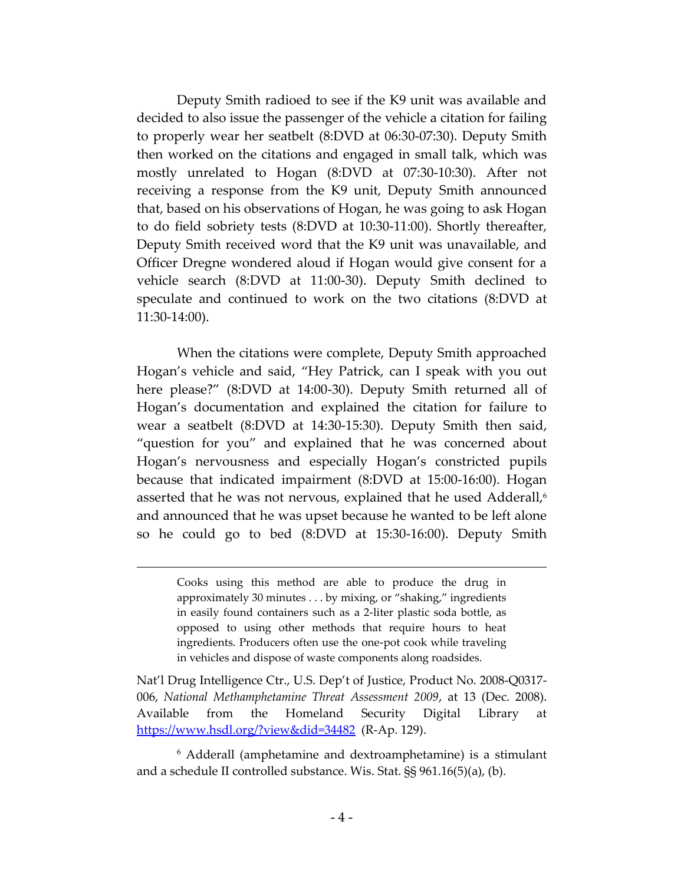Deputy Smith radioed to see if the K9 unit was available and decided to also issue the passenger of the vehicle a citation for failing to properly wear her seatbelt (8:DVD at 06:30-07:30). Deputy Smith then worked on the citations and engaged in small talk, which was mostly unrelated to Hogan (8:DVD at 07:30-10:30). After not receiving a response from the K9 unit, Deputy Smith announced that, based on his observations of Hogan, he was going to ask Hogan to do field sobriety tests (8:DVD at 10:30-11:00). Shortly thereafter, Deputy Smith received word that the K9 unit was unavailable, and Officer Dregne wondered aloud if Hogan would give consent for a vehicle search (8:DVD at 11:00-30). Deputy Smith declined to speculate and continued to work on the two citations (8:DVD at 11:30-14:00).

When the citations were complete, Deputy Smith approached Hogan's vehicle and said, "Hey Patrick, can I speak with you out here please?" (8:DVD at 14:00-30). Deputy Smith returned all of Hogan's documentation and explained the citation for failure to wear a seatbelt (8:DVD at 14:30-15:30). Deputy Smith then said, "question for you" and explained that he was concerned about Hogan's nervousness and especially Hogan's constricted pupils because that indicated impairment (8:DVD at 15:00-16:00). Hogan asserted that he was not nervous, explained that he used Adderall, 6 and announced that he was upset because he wanted to be left alone so he could go to bed (8:DVD at 15:30-16:00). Deputy Smith

 $\overline{a}$ 

Nat'l Drug Intelligence Ctr., U.S. Dep't of Justice, Product No. 2008-Q0317- 006, *National Methamphetamine Threat Assessment 2009*, at 13 (Dec. 2008). Available from the Homeland Security Digital Library at <https://www.hsdl.org/?view&did=34482> (R-Ap. 129).

<sup>6</sup> Adderall (amphetamine and dextroamphetamine) is a stimulant and a schedule II controlled substance. Wis. Stat. §§ 961.16(5)(a), (b).

Cooks using this method are able to produce the drug in approximately 30 minutes . . . by mixing, or "shaking," ingredients in easily found containers such as a 2-liter plastic soda bottle, as opposed to using other methods that require hours to heat ingredients. Producers often use the one-pot cook while traveling in vehicles and dispose of waste components along roadsides.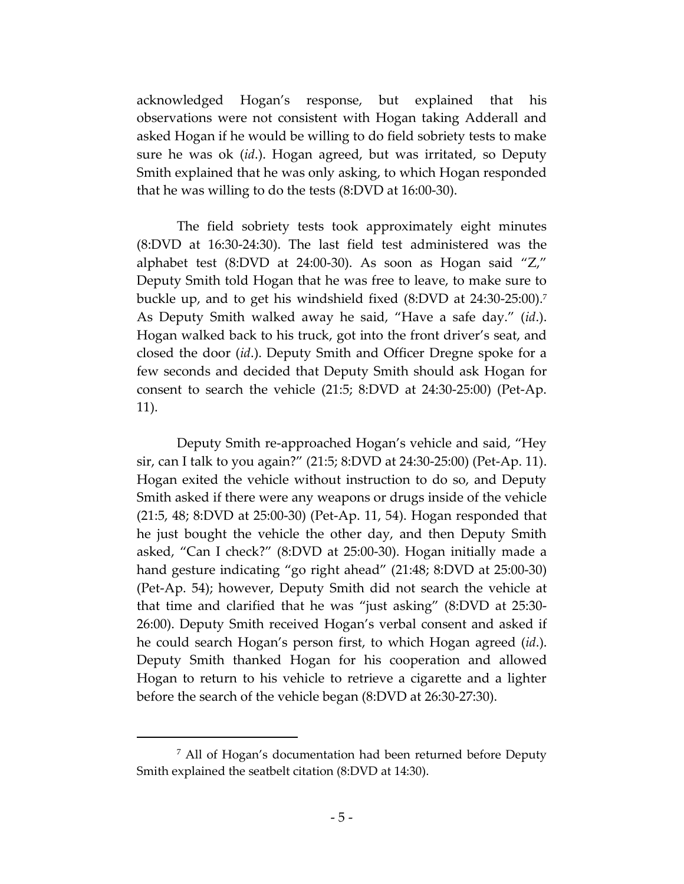acknowledged Hogan's response, but explained that his observations were not consistent with Hogan taking Adderall and asked Hogan if he would be willing to do field sobriety tests to make sure he was ok (*id*.). Hogan agreed, but was irritated, so Deputy Smith explained that he was only asking, to which Hogan responded that he was willing to do the tests (8:DVD at 16:00-30).

The field sobriety tests took approximately eight minutes (8:DVD at 16:30-24:30). The last field test administered was the alphabet test (8:DVD at 24:00-30). As soon as Hogan said "Z," Deputy Smith told Hogan that he was free to leave, to make sure to buckle up, and to get his windshield fixed (8:DVD at 24:30-25:00).<sup>7</sup> As Deputy Smith walked away he said, "Have a safe day." (*id*.). Hogan walked back to his truck, got into the front driver's seat, and closed the door (*id*.). Deputy Smith and Officer Dregne spoke for a few seconds and decided that Deputy Smith should ask Hogan for consent to search the vehicle (21:5; 8:DVD at 24:30-25:00) (Pet-Ap. 11).

Deputy Smith re-approached Hogan's vehicle and said, "Hey sir, can I talk to you again?" (21:5; 8:DVD at 24:30-25:00) (Pet-Ap. 11). Hogan exited the vehicle without instruction to do so, and Deputy Smith asked if there were any weapons or drugs inside of the vehicle (21:5, 48; 8:DVD at 25:00-30) (Pet-Ap. 11, 54). Hogan responded that he just bought the vehicle the other day, and then Deputy Smith asked, "Can I check?" (8:DVD at 25:00-30). Hogan initially made a hand gesture indicating "go right ahead" (21:48; 8:DVD at 25:00-30) (Pet-Ap. 54); however, Deputy Smith did not search the vehicle at that time and clarified that he was "just asking" (8:DVD at 25:30- 26:00). Deputy Smith received Hogan's verbal consent and asked if he could search Hogan's person first, to which Hogan agreed (*id*.). Deputy Smith thanked Hogan for his cooperation and allowed Hogan to return to his vehicle to retrieve a cigarette and a lighter before the search of the vehicle began (8:DVD at 26:30-27:30).

<sup>7</sup> All of Hogan's documentation had been returned before Deputy Smith explained the seatbelt citation (8:DVD at 14:30).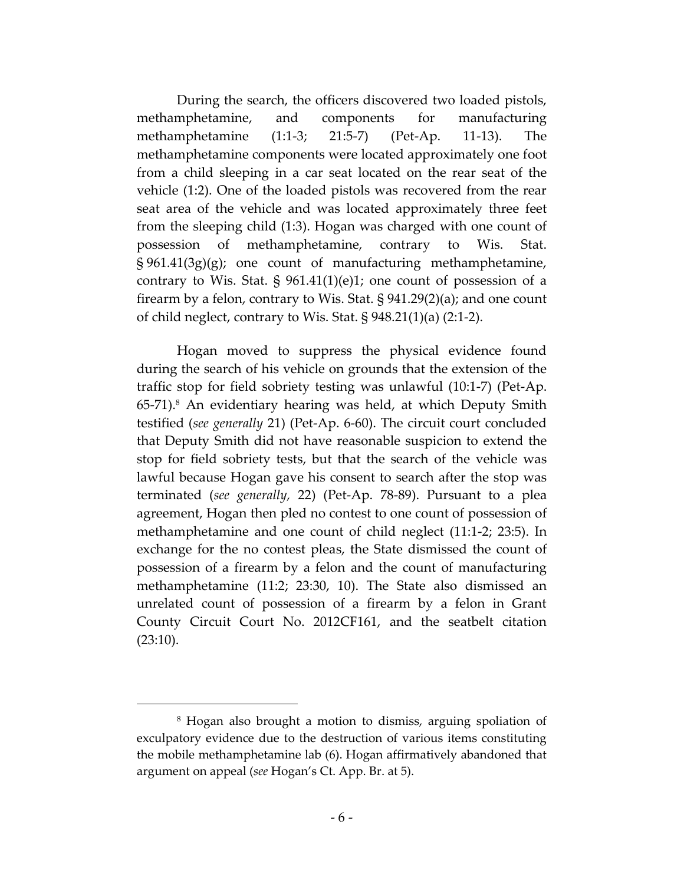During the search, the officers discovered two loaded pistols, methamphetamine, and components for manufacturing methamphetamine (1:1-3; 21:5-7) (Pet-Ap. 11-13). The methamphetamine components were located approximately one foot from a child sleeping in a car seat located on the rear seat of the vehicle (1:2). One of the loaded pistols was recovered from the rear seat area of the vehicle and was located approximately three feet from the sleeping child (1:3). Hogan was charged with one count of possession of methamphetamine, contrary to Wis. Stat. § 961.41(3g)(g); one count of manufacturing methamphetamine, contrary to Wis. Stat.  $\S$  961.41(1)(e)1; one count of possession of a firearm by a felon, contrary to Wis. Stat. § 941.29(2)(a); and one count of child neglect, contrary to Wis. Stat. § 948.21(1)(a) (2:1-2).

Hogan moved to suppress the physical evidence found during the search of his vehicle on grounds that the extension of the traffic stop for field sobriety testing was unlawful (10:1-7) (Pet-Ap. 65-71). <sup>8</sup> An evidentiary hearing was held, at which Deputy Smith testified (*see generally* 21) (Pet-Ap. 6-60). The circuit court concluded that Deputy Smith did not have reasonable suspicion to extend the stop for field sobriety tests, but that the search of the vehicle was lawful because Hogan gave his consent to search after the stop was terminated (*see generally,* 22) (Pet-Ap. 78-89). Pursuant to a plea agreement, Hogan then pled no contest to one count of possession of methamphetamine and one count of child neglect (11:1-2; 23:5). In exchange for the no contest pleas, the State dismissed the count of possession of a firearm by a felon and the count of manufacturing methamphetamine (11:2; 23:30, 10). The State also dismissed an unrelated count of possession of a firearm by a felon in Grant County Circuit Court No. 2012CF161, and the seatbelt citation (23:10).

<sup>8</sup> Hogan also brought a motion to dismiss, arguing spoliation of exculpatory evidence due to the destruction of various items constituting the mobile methamphetamine lab (6). Hogan affirmatively abandoned that argument on appeal (*see* Hogan's Ct. App. Br. at 5).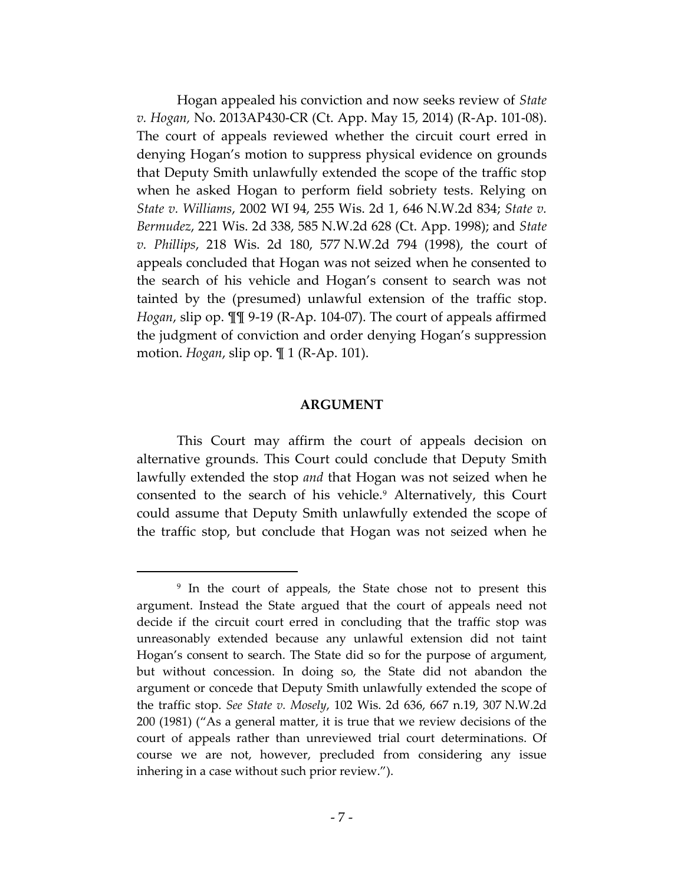Hogan appealed his conviction and now seeks review of *State v. Hogan,* No. 2013AP430-CR (Ct. App. May 15, 2014) (R-Ap. 101-08). The court of appeals reviewed whether the circuit court erred in denying Hogan's motion to suppress physical evidence on grounds that Deputy Smith unlawfully extended the scope of the traffic stop when he asked Hogan to perform field sobriety tests. Relying on *State v. Williams*, 2002 WI 94, 255 Wis. 2d 1, 646 N.W.2d 834; *State v. Bermudez*, 221 Wis. 2d 338, 585 N.W.2d 628 (Ct. App. 1998); and *State v. Phillips*, 218 Wis. 2d 180, 577 N.W.2d 794 (1998), the court of appeals concluded that Hogan was not seized when he consented to the search of his vehicle and Hogan's consent to search was not tainted by the (presumed) unlawful extension of the traffic stop. *Hogan*, slip op. ¶¶ 9-19 (R-Ap. 104-07). The court of appeals affirmed the judgment of conviction and order denying Hogan's suppression motion. *Hogan*, slip op. ¶ 1 (R-Ap. 101).

#### **ARGUMENT**

This Court may affirm the court of appeals decision on alternative grounds. This Court could conclude that Deputy Smith lawfully extended the stop *and* that Hogan was not seized when he consented to the search of his vehicle.<sup>9</sup> Alternatively, this Court could assume that Deputy Smith unlawfully extended the scope of the traffic stop, but conclude that Hogan was not seized when he

<sup>&</sup>lt;sup>9</sup> In the court of appeals, the State chose not to present this argument. Instead the State argued that the court of appeals need not decide if the circuit court erred in concluding that the traffic stop was unreasonably extended because any unlawful extension did not taint Hogan's consent to search. The State did so for the purpose of argument, but without concession. In doing so, the State did not abandon the argument or concede that Deputy Smith unlawfully extended the scope of the traffic stop. *See State v. Mosely*, 102 Wis. 2d 636, 667 n.19, 307 N.W.2d 200 (1981) ("As a general matter, it is true that we review decisions of the court of appeals rather than unreviewed trial court determinations. Of course we are not, however, precluded from considering any issue inhering in a case without such prior review.").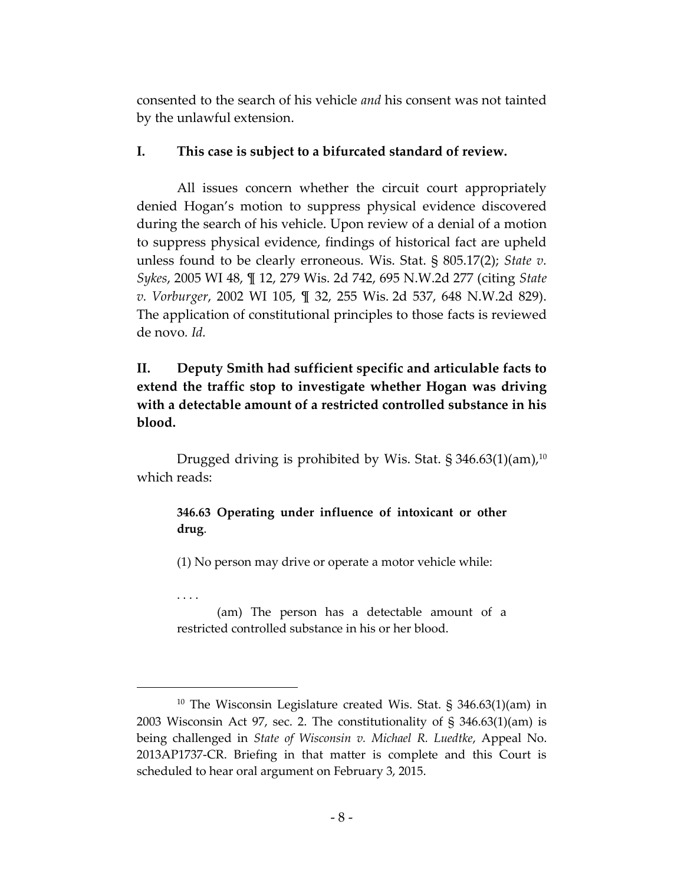consented to the search of his vehicle *and* his consent was not tainted by the unlawful extension.

### **I. This case is subject to a bifurcated standard of review.**

All issues concern whether the circuit court appropriately denied Hogan's motion to suppress physical evidence discovered during the search of his vehicle. Upon review of a denial of a motion to suppress physical evidence, findings of historical fact are upheld unless found to be clearly erroneous. Wis. Stat. § 805.17(2); *State v. Sykes*, 2005 WI 48, ¶ 12, 279 Wis. 2d 742, 695 N.W.2d 277 (citing *State v. Vorburger*, 2002 WI 105, ¶ 32, 255 Wis. 2d 537, 648 N.W.2d 829). The application of constitutional principles to those facts is reviewed de novo*. Id.*

# **II. Deputy Smith had sufficient specific and articulable facts to extend the traffic stop to investigate whether Hogan was driving with a detectable amount of a restricted controlled substance in his blood.**

Drugged driving is prohibited by Wis. Stat.  $\S 346.63(1)(am)$ ,<sup>10</sup> which reads:

### **346.63 Operating under influence of intoxicant or other drug**.

(1) No person may drive or operate a motor vehicle while:

. . . .

 $\overline{a}$ 

(am) The person has a detectable amount of a restricted controlled substance in his or her blood.

<sup>&</sup>lt;sup>10</sup> The Wisconsin Legislature created Wis. Stat. § 346.63 $(1)(am)$  in 2003 Wisconsin Act 97, sec. 2. The constitutionality of § 346.63(1)(am) is being challenged in *State of Wisconsin v. Michael R. Luedtke*, Appeal No. 2013AP1737-CR. Briefing in that matter is complete and this Court is scheduled to hear oral argument on February 3, 2015.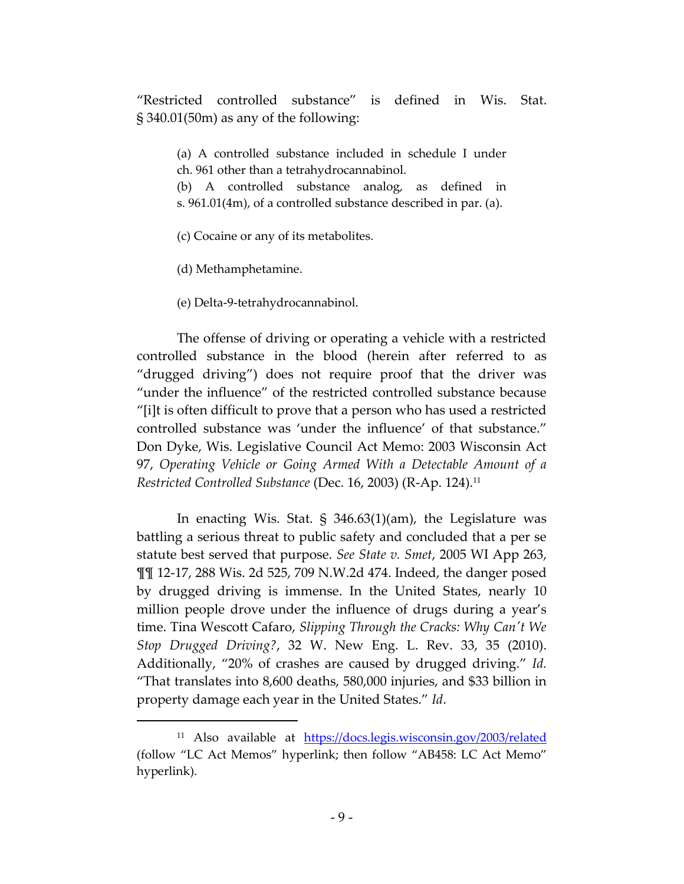"Restricted controlled substance" is defined in Wis. Stat. § 340.01(50m) as any of the following:

(a) A controlled substance included in schedule I under ch. 961 other than a tetrahydrocannabinol.

(b) A controlled substance analog, as defined in s. 961.01(4m), of a controlled substance described in par. (a).

(c) Cocaine or any of its metabolites.

(d) Methamphetamine.

 $\overline{a}$ 

(e) Delta-9-tetrahydrocannabinol.

The offense of driving or operating a vehicle with a restricted controlled substance in the blood (herein after referred to as "drugged driving") does not require proof that the driver was "under the influence" of the restricted controlled substance because "[i]t is often difficult to prove that a person who has used a restricted controlled substance was 'under the influence' of that substance." Don Dyke, Wis. Legislative Council Act Memo: 2003 Wisconsin Act 97, *Operating Vehicle or Going Armed With a Detectable Amount of a Restricted Controlled Substance* (Dec. 16, 2003) (R-Ap. 124).<sup>11</sup>

In enacting Wis. Stat. § 346.63(1)(am), the Legislature was battling a serious threat to public safety and concluded that a per se statute best served that purpose. *See State v. Smet*, 2005 WI App 263, ¶¶ 12-17, 288 Wis. 2d 525, 709 N.W.2d 474. Indeed, the danger posed by drugged driving is immense. In the United States, nearly 10 million people drove under the influence of drugs during a year's time. Tina Wescott Cafaro, *Slipping Through the Cracks: Why Can't We Stop Drugged Driving?*, 32 W. New Eng. L. Rev. 33, 35 (2010). Additionally, "20% of crashes are caused by drugged driving." *Id.* "That translates into 8,600 deaths, 580,000 injuries, and \$33 billion in property damage each year in the United States." *Id*.

<sup>11</sup> Also available at <https://docs.legis.wisconsin.gov/2003/related> (follow "LC Act Memos" hyperlink; then follow "AB458: LC Act Memo" hyperlink).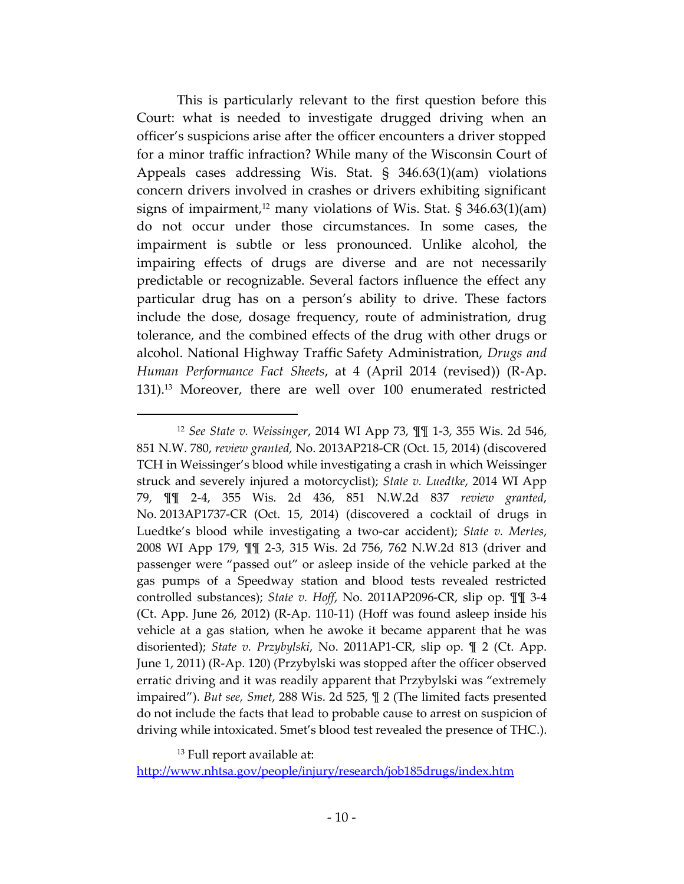This is particularly relevant to the first question before this Court: what is needed to investigate drugged driving when an officer's suspicions arise after the officer encounters a driver stopped for a minor traffic infraction? While many of the Wisconsin Court of Appeals cases addressing Wis. Stat. § 346.63(1)(am) violations concern drivers involved in crashes or drivers exhibiting significant signs of impairment,<sup>12</sup> many violations of Wis. Stat. § 346.63(1)(am) do not occur under those circumstances. In some cases, the impairment is subtle or less pronounced. Unlike alcohol, the impairing effects of drugs are diverse and are not necessarily predictable or recognizable. Several factors influence the effect any particular drug has on a person's ability to drive. These factors include the dose, dosage frequency, route of administration, drug tolerance, and the combined effects of the drug with other drugs or alcohol. National Highway Traffic Safety Administration, *Drugs and Human Performance Fact Sheets*, at 4 (April 2014 (revised)) (R-Ap. 131).<sup>13</sup> Moreover, there are well over 100 enumerated restricted

<sup>13</sup> Full report available at:

 $\overline{a}$ 

[http://www.nhtsa.gov/people/injury/research/job185drugs/index.htm](http://www.nhtsa.gov/people/injury/re search/job185drugs/index.htm) 

<sup>12</sup> *See State v. Weissinger*, 2014 WI App 73, ¶¶ 1-3, 355 Wis. 2d 546, 851 N.W. 780, *review granted,* No. 2013AP218-CR (Oct. 15, 2014) (discovered TCH in Weissinger's blood while investigating a crash in which Weissinger struck and severely injured a motorcyclist); *State v. Luedtke*, 2014 WI App 79, ¶¶ 2-4, 355 Wis. 2d 436, 851 N.W.2d 837 *review granted*, No. 2013AP1737-CR (Oct. 15, 2014) (discovered a cocktail of drugs in Luedtke's blood while investigating a two-car accident); *State v. Mertes*, 2008 WI App 179, ¶¶ 2-3, 315 Wis. 2d 756, 762 N.W.2d 813 (driver and passenger were "passed out" or asleep inside of the vehicle parked at the gas pumps of a Speedway station and blood tests revealed restricted controlled substances); *State v. Hoff*, No. 2011AP2096-CR, slip op. ¶¶ 3-4 (Ct. App. June 26, 2012) (R-Ap. 110-11) (Hoff was found asleep inside his vehicle at a gas station, when he awoke it became apparent that he was disoriented); *State v. Przybylski*, No. 2011AP1-CR, slip op. ¶ 2 (Ct. App. June 1, 2011) (R-Ap. 120) (Przybylski was stopped after the officer observed erratic driving and it was readily apparent that Przybylski was "extremely impaired"). *But see, Smet*, 288 Wis. 2d 525, ¶ 2 (The limited facts presented do not include the facts that lead to probable cause to arrest on suspicion of driving while intoxicated. Smet's blood test revealed the presence of THC.).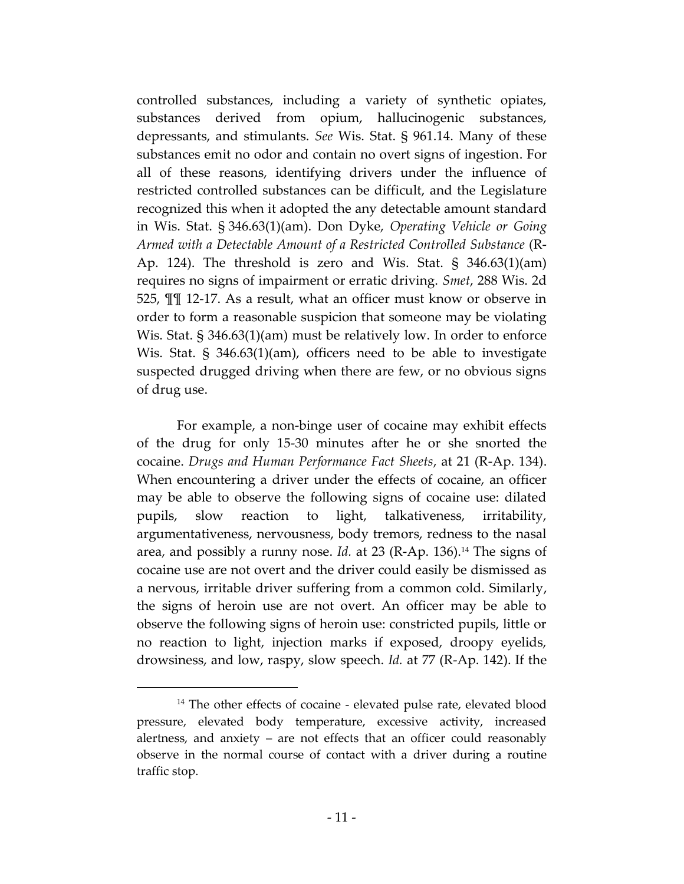controlled substances, including a variety of synthetic opiates, substances derived from opium, hallucinogenic substances, depressants, and stimulants. *See* Wis. Stat. § 961.14. Many of these substances emit no odor and contain no overt signs of ingestion. For all of these reasons, identifying drivers under the influence of restricted controlled substances can be difficult, and the Legislature recognized this when it adopted the any detectable amount standard in Wis. Stat. § 346.63(1)(am). Don Dyke, *Operating Vehicle or Going Armed with a Detectable Amount of a Restricted Controlled Substance* (R-Ap. 124). The threshold is zero and Wis. Stat. § 346.63(1)(am) requires no signs of impairment or erratic driving. *Smet*, 288 Wis. 2d 525, ¶¶ 12-17. As a result, what an officer must know or observe in order to form a reasonable suspicion that someone may be violating Wis. Stat. § 346.63(1)(am) must be relatively low. In order to enforce Wis. Stat. § 346.63(1)(am), officers need to be able to investigate suspected drugged driving when there are few, or no obvious signs of drug use.

For example, a non-binge user of cocaine may exhibit effects of the drug for only 15-30 minutes after he or she snorted the cocaine. *Drugs and Human Performance Fact Sheets*, at 21 (R-Ap. 134). When encountering a driver under the effects of cocaine, an officer may be able to observe the following signs of cocaine use: dilated pupils, slow reaction to light, talkativeness, irritability, argumentativeness, nervousness, body tremors, redness to the nasal area, and possibly a runny nose. *Id.* at 23 (R-Ap. 136). <sup>14</sup> The signs of cocaine use are not overt and the driver could easily be dismissed as a nervous, irritable driver suffering from a common cold. Similarly, the signs of heroin use are not overt. An officer may be able to observe the following signs of heroin use: constricted pupils, little or no reaction to light, injection marks if exposed, droopy eyelids, drowsiness, and low, raspy, slow speech. *Id.* at 77 (R-Ap. 142). If the

<sup>&</sup>lt;sup>14</sup> The other effects of cocaine - elevated pulse rate, elevated blood pressure, elevated body temperature, excessive activity, increased alertness, and anxiety – are not effects that an officer could reasonably observe in the normal course of contact with a driver during a routine traffic stop.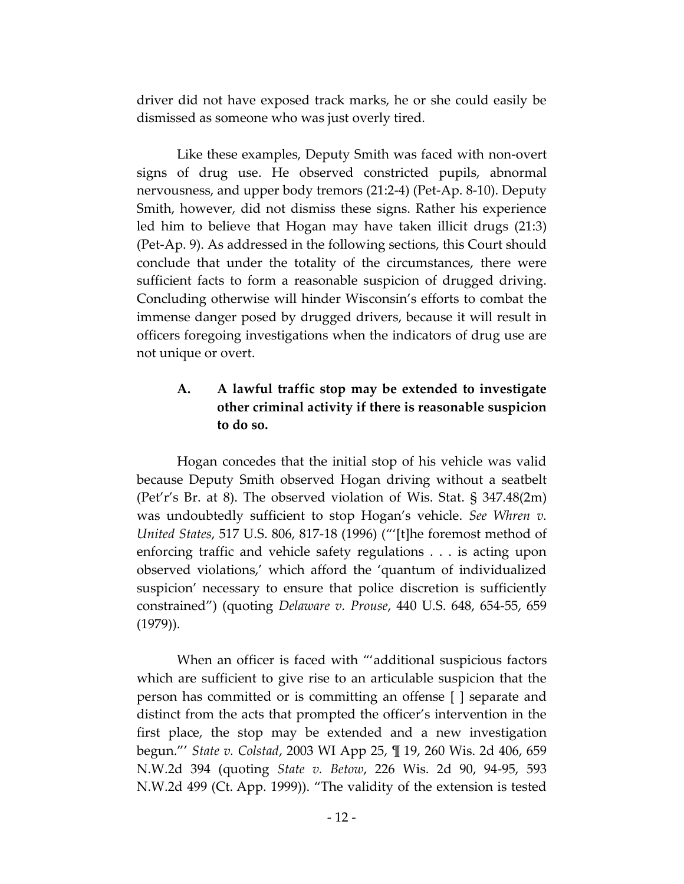driver did not have exposed track marks, he or she could easily be dismissed as someone who was just overly tired.

Like these examples, Deputy Smith was faced with non-overt signs of drug use. He observed constricted pupils, abnormal nervousness, and upper body tremors (21:2-4) (Pet-Ap. 8-10). Deputy Smith, however, did not dismiss these signs. Rather his experience led him to believe that Hogan may have taken illicit drugs (21:3) (Pet-Ap. 9). As addressed in the following sections, this Court should conclude that under the totality of the circumstances, there were sufficient facts to form a reasonable suspicion of drugged driving. Concluding otherwise will hinder Wisconsin's efforts to combat the immense danger posed by drugged drivers, because it will result in officers foregoing investigations when the indicators of drug use are not unique or overt.

# **A. A lawful traffic stop may be extended to investigate other criminal activity if there is reasonable suspicion to do so.**

Hogan concedes that the initial stop of his vehicle was valid because Deputy Smith observed Hogan driving without a seatbelt (Pet'r's Br. at 8). The observed violation of Wis. Stat. § 347.48(2m) was undoubtedly sufficient to stop Hogan's vehicle. *See Whren v. United States*, 517 U.S. 806, 817-18 (1996) ("'[t]he foremost method of enforcing traffic and vehicle safety regulations . . . is acting upon observed violations,' which afford the 'quantum of individualized suspicion' necessary to ensure that police discretion is sufficiently constrained") (quoting *Delaware v. Prouse*, 440 U.S. 648, 654-55, 659 (1979)).

When an officer is faced with "'additional suspicious factors which are sufficient to give rise to an articulable suspicion that the person has committed or is committing an offense [ ] separate and distinct from the acts that prompted the officer's intervention in the first place, the stop may be extended and a new investigation begun."' *State v. Colstad*, 2003 WI App 25, ¶ 19, 260 Wis. 2d 406, 659 N.W.2d 394 (quoting *State v. Betow*, 226 Wis. 2d 90, 94-95, 593 N.W.2d 499 (Ct. App. 1999)). "The validity of the extension is tested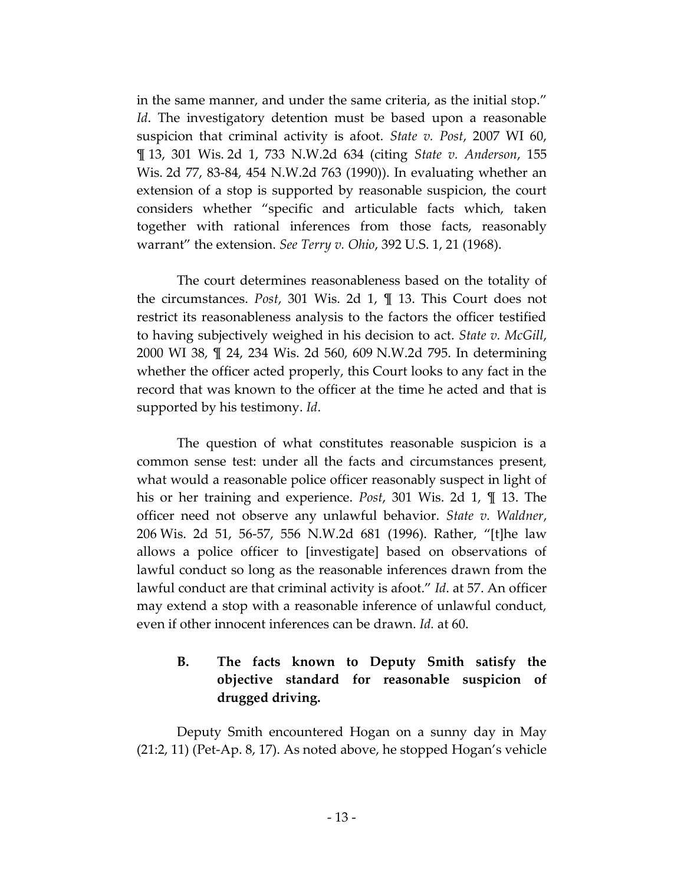in the same manner, and under the same criteria, as the initial stop." *Id*. The investigatory detention must be based upon a reasonable suspicion that criminal activity is afoot. *State v. Post*, 2007 WI 60, ¶ 13, 301 Wis. 2d 1, 733 N.W.2d 634 (citing *State v. Anderson*, 155 Wis. 2d 77, 83-84, 454 N.W.2d 763 (1990)). In evaluating whether an extension of a stop is supported by reasonable suspicion, the court considers whether "specific and articulable facts which, taken together with rational inferences from those facts, reasonably warrant" the extension. *See Terry v. Ohio*, 392 U.S. 1, 21 (1968).

The court determines reasonableness based on the totality of the circumstances. *Post*, 301 Wis. 2d 1, ¶ 13. This Court does not restrict its reasonableness analysis to the factors the officer testified to having subjectively weighed in his decision to act. *State v. McGill*, 2000 WI 38, ¶ 24, 234 Wis. 2d 560, 609 N.W.2d 795. In determining whether the officer acted properly, this Court looks to any fact in the record that was known to the officer at the time he acted and that is supported by his testimony. *Id*.

The question of what constitutes reasonable suspicion is a common sense test: under all the facts and circumstances present, what would a reasonable police officer reasonably suspect in light of his or her training and experience. *Post*, 301 Wis. 2d 1, ¶ 13. The officer need not observe any unlawful behavior. *State v. Waldner*, 206 Wis. 2d 51, 56-57, 556 N.W.2d 681 (1996). Rather, "[t]he law allows a police officer to [investigate] based on observations of lawful conduct so long as the reasonable inferences drawn from the lawful conduct are that criminal activity is afoot." *Id*. at 57. An officer may extend a stop with a reasonable inference of unlawful conduct, even if other innocent inferences can be drawn. *Id.* at 60.

# **B. The facts known to Deputy Smith satisfy the objective standard for reasonable suspicion of drugged driving.**

Deputy Smith encountered Hogan on a sunny day in May (21:2, 11) (Pet-Ap. 8, 17). As noted above, he stopped Hogan's vehicle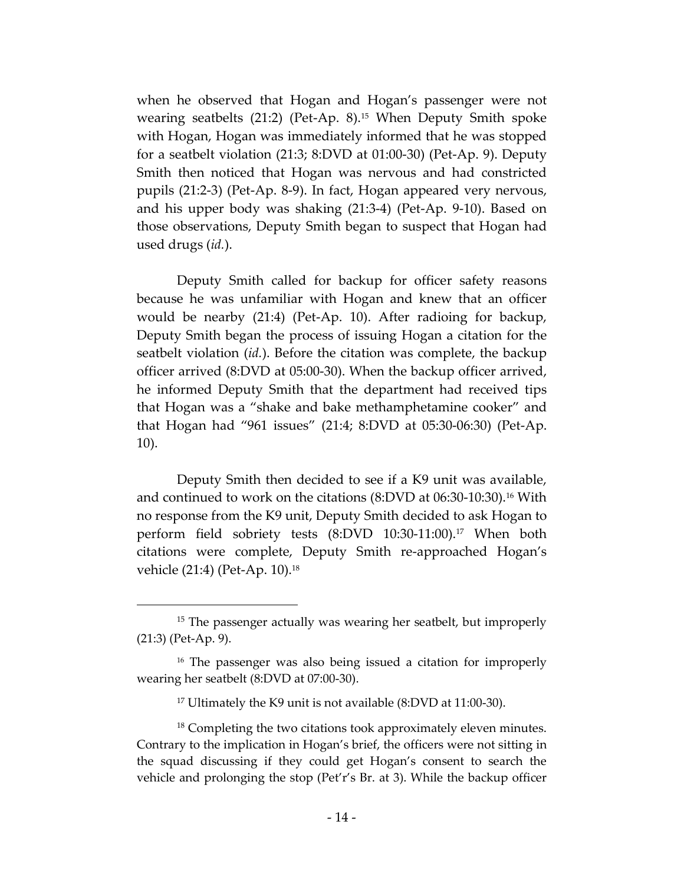when he observed that Hogan and Hogan's passenger were not wearing seatbelts (21:2) (Pet-Ap. 8).<sup>15</sup> When Deputy Smith spoke with Hogan, Hogan was immediately informed that he was stopped for a seatbelt violation (21:3; 8:DVD at 01:00-30) (Pet-Ap. 9). Deputy Smith then noticed that Hogan was nervous and had constricted pupils (21:2-3) (Pet-Ap. 8-9). In fact, Hogan appeared very nervous, and his upper body was shaking (21:3-4) (Pet-Ap. 9-10). Based on those observations, Deputy Smith began to suspect that Hogan had used drugs (*id.*).

Deputy Smith called for backup for officer safety reasons because he was unfamiliar with Hogan and knew that an officer would be nearby (21:4) (Pet-Ap. 10). After radioing for backup, Deputy Smith began the process of issuing Hogan a citation for the seatbelt violation (*id.*). Before the citation was complete, the backup officer arrived (8:DVD at 05:00-30). When the backup officer arrived, he informed Deputy Smith that the department had received tips that Hogan was a "shake and bake methamphetamine cooker" and that Hogan had "961 issues" (21:4; 8:DVD at 05:30-06:30) (Pet-Ap. 10).

Deputy Smith then decided to see if a K9 unit was available, and continued to work on the citations (8:DVD at 06:30-10:30).<sup>16</sup> With no response from the K9 unit, Deputy Smith decided to ask Hogan to perform field sobriety tests (8:DVD 10:30-11:00).<sup>17</sup> When both citations were complete, Deputy Smith re-approached Hogan's vehicle (21:4) (Pet-Ap. 10).<sup>18</sup>

<sup>&</sup>lt;sup>15</sup> The passenger actually was wearing her seatbelt, but improperly (21:3) (Pet-Ap. 9).

<sup>&</sup>lt;sup>16</sup> The passenger was also being issued a citation for improperly wearing her seatbelt (8:DVD at 07:00-30).

<sup>17</sup> Ultimately the K9 unit is not available (8:DVD at 11:00-30).

<sup>&</sup>lt;sup>18</sup> Completing the two citations took approximately eleven minutes. Contrary to the implication in Hogan's brief, the officers were not sitting in the squad discussing if they could get Hogan's consent to search the vehicle and prolonging the stop (Pet'r's Br. at 3). While the backup officer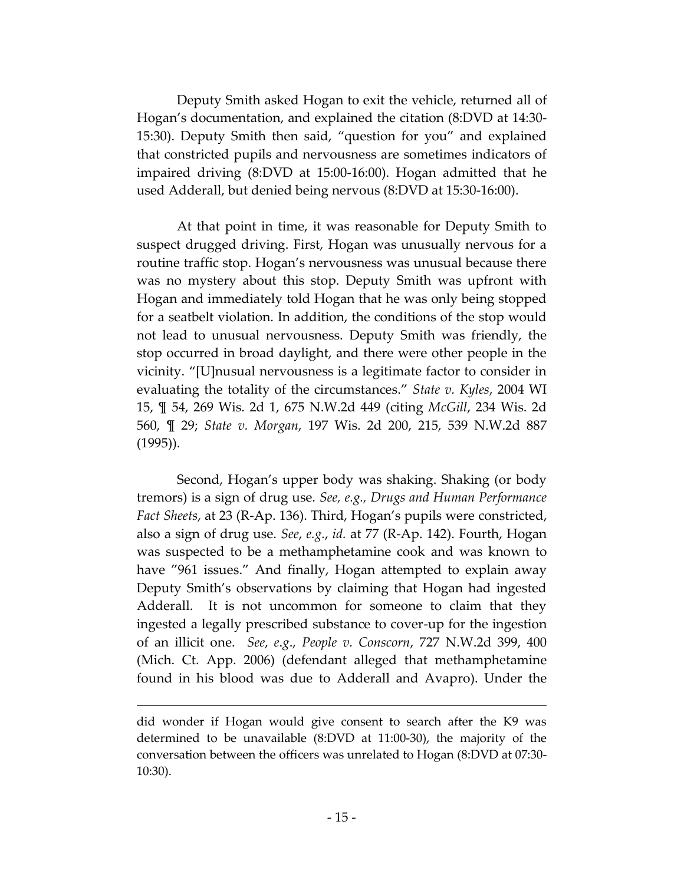Deputy Smith asked Hogan to exit the vehicle, returned all of Hogan's documentation, and explained the citation (8:DVD at 14:30- 15:30). Deputy Smith then said, "question for you" and explained that constricted pupils and nervousness are sometimes indicators of impaired driving (8:DVD at 15:00-16:00). Hogan admitted that he used Adderall, but denied being nervous (8:DVD at 15:30-16:00).

At that point in time, it was reasonable for Deputy Smith to suspect drugged driving. First, Hogan was unusually nervous for a routine traffic stop. Hogan's nervousness was unusual because there was no mystery about this stop. Deputy Smith was upfront with Hogan and immediately told Hogan that he was only being stopped for a seatbelt violation. In addition, the conditions of the stop would not lead to unusual nervousness. Deputy Smith was friendly, the stop occurred in broad daylight, and there were other people in the vicinity. "[U]nusual nervousness is a legitimate factor to consider in evaluating the totality of the circumstances." *State v. Kyles*, 2004 WI 15, ¶ 54, 269 Wis. 2d 1, 675 N.W.2d 449 (citing *McGill*, 234 Wis. 2d 560, ¶ 29; *State v. Morgan*, 197 Wis. 2d 200, 215, 539 N.W.2d 887 (1995)).

Second, Hogan's upper body was shaking. Shaking (or body tremors) is a sign of drug use. *See, e.g., Drugs and Human Performance Fact Sheets*, at 23 (R-Ap. 136). Third, Hogan's pupils were constricted, also a sign of drug use. *See*, *e.g.*, *id.* at 77 (R-Ap. 142). Fourth, Hogan was suspected to be a methamphetamine cook and was known to have "961 issues." And finally, Hogan attempted to explain away Deputy Smith's observations by claiming that Hogan had ingested Adderall. It is not uncommon for someone to claim that they ingested a legally prescribed substance to cover-up for the ingestion of an illicit one. *See*, *e*.*g*., *People v. Conscorn*, 727 N.W.2d 399, 400 (Mich. Ct. App. 2006) (defendant alleged that methamphetamine found in his blood was due to Adderall and Avapro). Under the

did wonder if Hogan would give consent to search after the K9 was determined to be unavailable (8:DVD at 11:00-30), the majority of the conversation between the officers was unrelated to Hogan (8:DVD at 07:30- 10:30).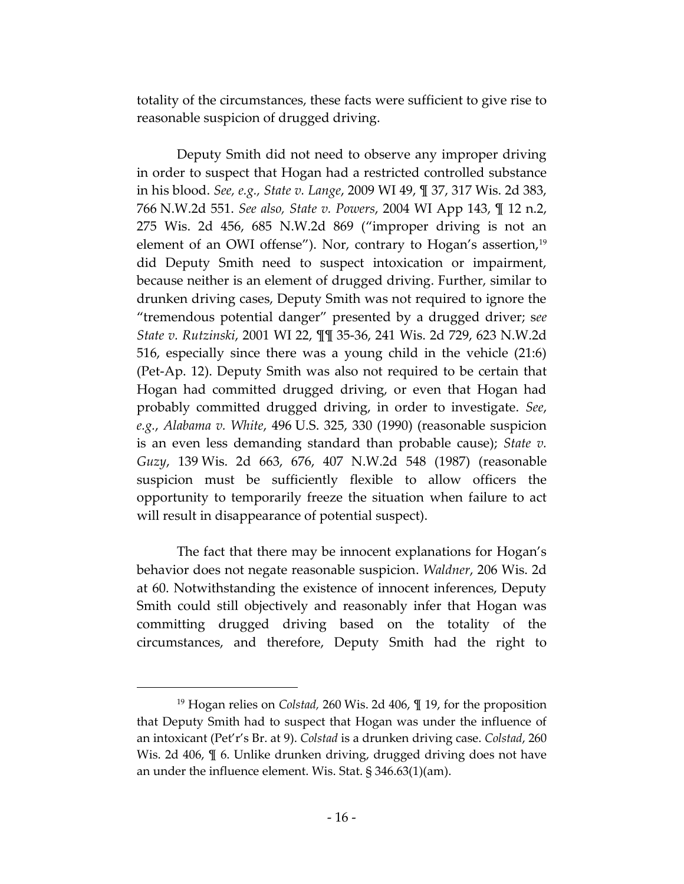totality of the circumstances, these facts were sufficient to give rise to reasonable suspicion of drugged driving.

Deputy Smith did not need to observe any improper driving in order to suspect that Hogan had a restricted controlled substance in his blood. *See, e.g., State v. Lange*, 2009 WI 49, ¶ 37, 317 Wis. 2d 383, 766 N.W.2d 551. *See also, State v. Powers*, 2004 WI App 143, ¶ 12 n.2, 275 Wis. 2d 456, 685 N.W.2d 869 ("improper driving is not an element of an OWI offense"). Nor, contrary to Hogan's assertion,<sup>19</sup> did Deputy Smith need to suspect intoxication or impairment, because neither is an element of drugged driving. Further, similar to drunken driving cases, Deputy Smith was not required to ignore the "tremendous potential danger" presented by a drugged driver; s*ee State v. Rutzinski*, 2001 WI 22, ¶¶ 35-36, 241 Wis. 2d 729, 623 N.W.2d 516, especially since there was a young child in the vehicle (21:6) (Pet-Ap. 12). Deputy Smith was also not required to be certain that Hogan had committed drugged driving, or even that Hogan had probably committed drugged driving, in order to investigate. *See*, *e.g.*, *Alabama v. White*, 496 U.S. 325, 330 (1990) (reasonable suspicion is an even less demanding standard than probable cause); *State v. Guzy*, 139 Wis. 2d 663, 676, 407 N.W.2d 548 (1987) (reasonable suspicion must be sufficiently flexible to allow officers the opportunity to temporarily freeze the situation when failure to act will result in disappearance of potential suspect).

The fact that there may be innocent explanations for Hogan's behavior does not negate reasonable suspicion. *Waldner*, 206 Wis. 2d at 60. Notwithstanding the existence of innocent inferences, Deputy Smith could still objectively and reasonably infer that Hogan was committing drugged driving based on the totality of the circumstances, and therefore, Deputy Smith had the right to

<sup>19</sup> Hogan relies on *Colstad,* 260 Wis. 2d 406, ¶ 19, for the proposition that Deputy Smith had to suspect that Hogan was under the influence of an intoxicant (Pet'r's Br. at 9). *Colstad* is a drunken driving case. *Colstad*, 260 Wis. 2d 406,  $\mathbb{I}$  6. Unlike drunken driving, drugged driving does not have an under the influence element. Wis. Stat. § 346.63(1)(am).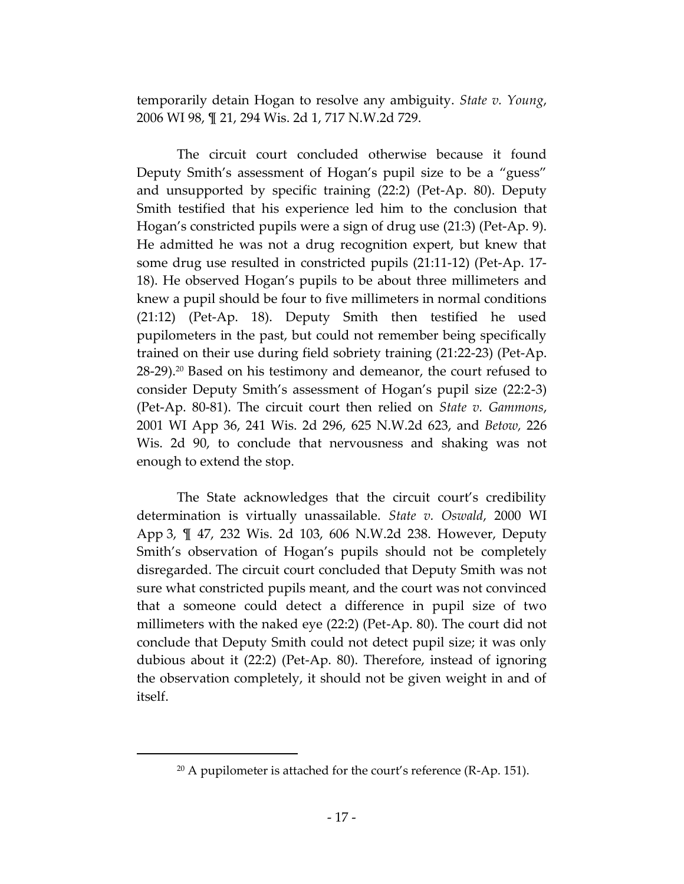temporarily detain Hogan to resolve any ambiguity. *State v. Young*, 2006 WI 98, ¶ 21, 294 Wis. 2d 1, 717 N.W.2d 729.

The circuit court concluded otherwise because it found Deputy Smith's assessment of Hogan's pupil size to be a "guess" and unsupported by specific training (22:2) (Pet-Ap. 80). Deputy Smith testified that his experience led him to the conclusion that Hogan's constricted pupils were a sign of drug use (21:3) (Pet-Ap. 9). He admitted he was not a drug recognition expert, but knew that some drug use resulted in constricted pupils (21:11-12) (Pet-Ap. 17- 18). He observed Hogan's pupils to be about three millimeters and knew a pupil should be four to five millimeters in normal conditions (21:12) (Pet-Ap. 18). Deputy Smith then testified he used pupilometers in the past, but could not remember being specifically trained on their use during field sobriety training (21:22-23) (Pet-Ap. 28-29).<sup>20</sup> Based on his testimony and demeanor, the court refused to consider Deputy Smith's assessment of Hogan's pupil size (22:2-3) (Pet-Ap. 80-81). The circuit court then relied on *State v. Gammons*, 2001 WI App 36, 241 Wis. 2d 296, 625 N.W.2d 623, and *Betow,* 226 Wis. 2d 90, to conclude that nervousness and shaking was not enough to extend the stop.

The State acknowledges that the circuit court's credibility determination is virtually unassailable. *State v. Oswald*, 2000 WI App 3, ¶ 47, 232 Wis. 2d 103, 606 N.W.2d 238. However, Deputy Smith's observation of Hogan's pupils should not be completely disregarded. The circuit court concluded that Deputy Smith was not sure what constricted pupils meant, and the court was not convinced that a someone could detect a difference in pupil size of two millimeters with the naked eye (22:2) (Pet-Ap. 80). The court did not conclude that Deputy Smith could not detect pupil size; it was only dubious about it (22:2) (Pet-Ap. 80). Therefore, instead of ignoring the observation completely, it should not be given weight in and of itself.

<sup>&</sup>lt;sup>20</sup> A pupilometer is attached for the court's reference (R-Ap. 151).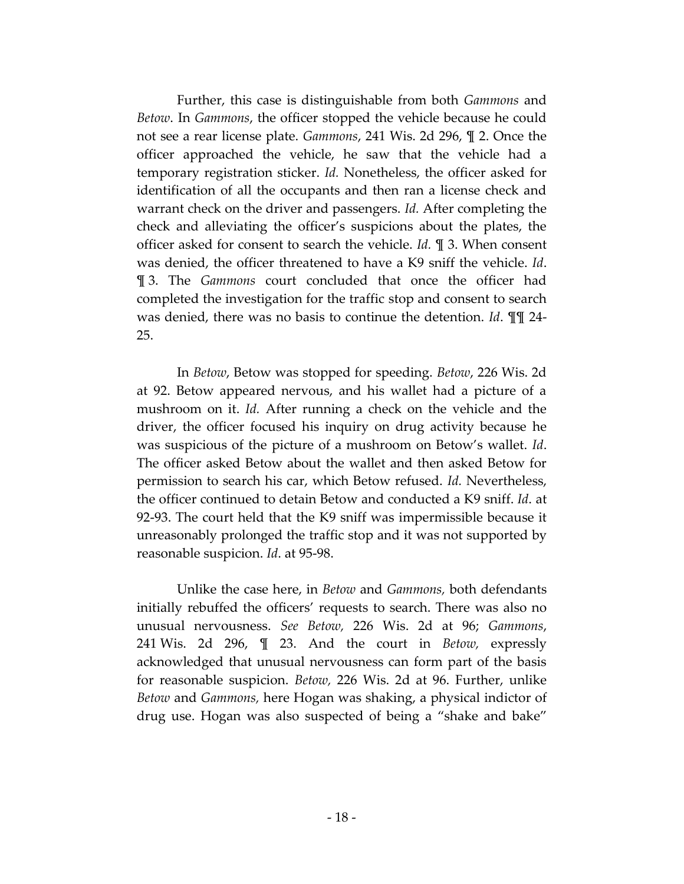Further, this case is distinguishable from both *Gammons* and *Betow*. In *Gammons*, the officer stopped the vehicle because he could not see a rear license plate. *Gammons*, 241 Wis. 2d 296, ¶ 2. Once the officer approached the vehicle, he saw that the vehicle had a temporary registration sticker. *Id.* Nonetheless, the officer asked for identification of all the occupants and then ran a license check and warrant check on the driver and passengers. *Id.* After completing the check and alleviating the officer's suspicions about the plates, the officer asked for consent to search the vehicle. *Id.* ¶ 3. When consent was denied, the officer threatened to have a K9 sniff the vehicle. *Id*. ¶ 3. The *Gammons* court concluded that once the officer had completed the investigation for the traffic stop and consent to search was denied, there was no basis to continue the detention. *Id*. ¶¶ 24- 25.

In *Betow*, Betow was stopped for speeding. *Betow*, 226 Wis. 2d at 92. Betow appeared nervous, and his wallet had a picture of a mushroom on it. *Id.* After running a check on the vehicle and the driver, the officer focused his inquiry on drug activity because he was suspicious of the picture of a mushroom on Betow's wallet. *Id*. The officer asked Betow about the wallet and then asked Betow for permission to search his car, which Betow refused. *Id.* Nevertheless, the officer continued to detain Betow and conducted a K9 sniff. *Id*. at 92-93. The court held that the K9 sniff was impermissible because it unreasonably prolonged the traffic stop and it was not supported by reasonable suspicion. *Id*. at 95-98.

Unlike the case here, in *Betow* and *Gammons,* both defendants initially rebuffed the officers' requests to search. There was also no unusual nervousness. *See Betow,* 226 Wis. 2d at 96; *Gammons*, 241 Wis. 2d 296, ¶ 23. And the court in *Betow,* expressly acknowledged that unusual nervousness can form part of the basis for reasonable suspicion. *Betow,* 226 Wis. 2d at 96. Further, unlike *Betow* and *Gammons,* here Hogan was shaking, a physical indictor of drug use. Hogan was also suspected of being a "shake and bake"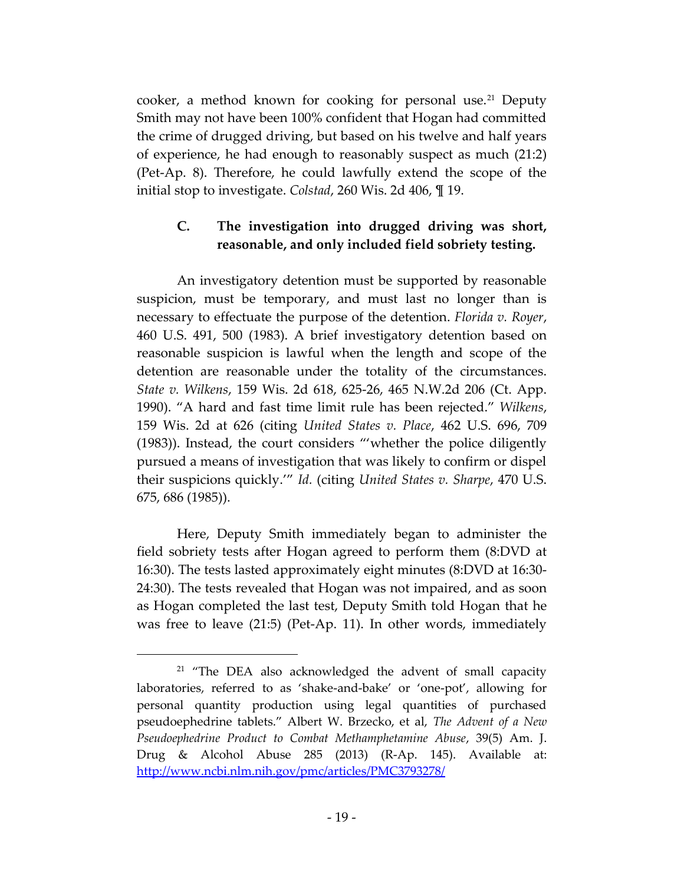cooker, a method known for cooking for personal use.<sup>21</sup> Deputy Smith may not have been 100% confident that Hogan had committed the crime of drugged driving, but based on his twelve and half years of experience, he had enough to reasonably suspect as much (21:2) (Pet-Ap. 8). Therefore, he could lawfully extend the scope of the initial stop to investigate. *Colstad*, 260 Wis. 2d 406, ¶ 19.

# **C. The investigation into drugged driving was short, reasonable, and only included field sobriety testing.**

An investigatory detention must be supported by reasonable suspicion, must be temporary, and must last no longer than is necessary to effectuate the purpose of the detention. *Florida v. Royer*, 460 U.S. 491, 500 (1983). A brief investigatory detention based on reasonable suspicion is lawful when the length and scope of the detention are reasonable under the totality of the circumstances. *State v. Wilkens*, 159 Wis. 2d 618, 625-26, 465 N.W.2d 206 (Ct. App. 1990). "A hard and fast time limit rule has been rejected." *Wilkens*, 159 Wis. 2d at 626 (citing *United States v. Place*, 462 U.S. 696, 709 (1983)). Instead, the court considers "'whether the police diligently pursued a means of investigation that was likely to confirm or dispel their suspicions quickly.'" *Id.* (citing *United States v. Sharpe*, 470 U.S. 675, 686 (1985)).

Here, Deputy Smith immediately began to administer the field sobriety tests after Hogan agreed to perform them (8:DVD at 16:30). The tests lasted approximately eight minutes (8:DVD at 16:30- 24:30). The tests revealed that Hogan was not impaired, and as soon as Hogan completed the last test, Deputy Smith told Hogan that he was free to leave (21:5) (Pet-Ap. 11). In other words, immediately

<sup>&</sup>lt;sup>21</sup> "The DEA also acknowledged the advent of small capacity laboratories, referred to as 'shake-and-bake' or 'one-pot', allowing for personal quantity production using legal quantities of purchased pseudoephedrine tablets." Albert W. Brzecko, et al, *The Advent of a New Pseudoephedrine Product to Combat Methamphetamine Abuse*, 39(5) Am. J. Drug & Alcohol Abuse 285 (2013) (R-Ap. 145). Available at: <http://www.ncbi.nlm.nih.gov/pmc/articles/PMC3793278/>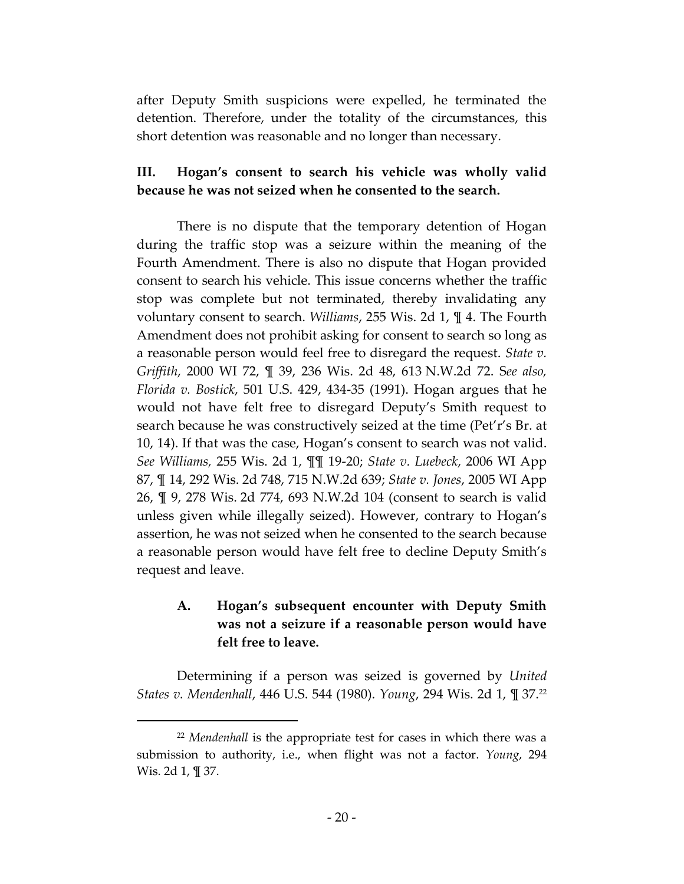after Deputy Smith suspicions were expelled, he terminated the detention. Therefore, under the totality of the circumstances, this short detention was reasonable and no longer than necessary.

# **III. Hogan's consent to search his vehicle was wholly valid because he was not seized when he consented to the search.**

There is no dispute that the temporary detention of Hogan during the traffic stop was a seizure within the meaning of the Fourth Amendment. There is also no dispute that Hogan provided consent to search his vehicle. This issue concerns whether the traffic stop was complete but not terminated, thereby invalidating any voluntary consent to search. *Williams*, 255 Wis. 2d 1, ¶ 4. The Fourth Amendment does not prohibit asking for consent to search so long as a reasonable person would feel free to disregard the request. *State v. Griffith*, 2000 WI 72, ¶ 39, 236 Wis. 2d 48, 613 N.W.2d 72. S*ee also, Florida v. Bostick*, 501 U.S. 429, 434-35 (1991). Hogan argues that he would not have felt free to disregard Deputy's Smith request to search because he was constructively seized at the time (Pet'r's Br. at 10, 14). If that was the case, Hogan's consent to search was not valid. *See Williams,* 255 Wis. 2d 1, ¶¶ 19-20; *State v. Luebeck*, 2006 WI App 87, ¶ 14, 292 Wis. 2d 748, 715 N.W.2d 639; *State v. Jones*, 2005 WI App 26, ¶ 9, 278 Wis. 2d 774, 693 N.W.2d 104 (consent to search is valid unless given while illegally seized). However, contrary to Hogan's assertion, he was not seized when he consented to the search because a reasonable person would have felt free to decline Deputy Smith's request and leave.

# **A. Hogan's subsequent encounter with Deputy Smith was not a seizure if a reasonable person would have felt free to leave.**

Determining if a person was seized is governed by *United States v. Mendenhall*, 446 U.S. 544 (1980). *Young*, 294 Wis. 2d 1, ¶ 37. 22

<sup>22</sup> *Mendenhall* is the appropriate test for cases in which there was a submission to authority, i.e., when flight was not a factor. *Young*, 294 Wis. 2d 1, ¶ 37.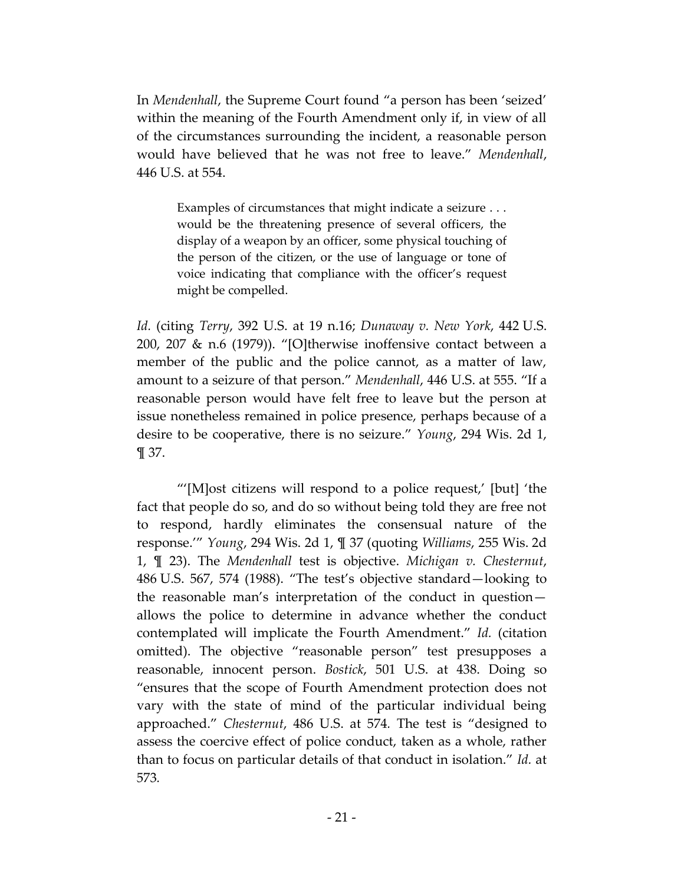In *Mendenhall*, the Supreme Court found "a person has been 'seized' within the meaning of the Fourth Amendment only if, in view of all of the circumstances surrounding the incident, a reasonable person would have believed that he was not free to leave." *Mendenhall*, 446 U.S. at 554.

Examples of circumstances that might indicate a seizure . . . would be the threatening presence of several officers, the display of a weapon by an officer, some physical touching of the person of the citizen, or the use of language or tone of voice indicating that compliance with the officer's request might be compelled.

*Id.* (citing *Terry*, 392 U.S. at 19 n.16; *Dunaway v. New York*, 442 U.S. 200, 207 & n.6 (1979)). "[O]therwise inoffensive contact between a member of the public and the police cannot, as a matter of law, amount to a seizure of that person." *Mendenhall*, 446 U.S. at 555. "If a reasonable person would have felt free to leave but the person at issue nonetheless remained in police presence, perhaps because of a desire to be cooperative, there is no seizure." *Young*, 294 Wis. 2d 1, ¶ 37.

"'[M]ost citizens will respond to a police request,' [but] 'the fact that people do so, and do so without being told they are free not to respond, hardly eliminates the consensual nature of the response.'" *Young*, 294 Wis. 2d 1, ¶ 37 (quoting *Williams*, 255 Wis. 2d 1, ¶ 23). The *Mendenhall* test is objective. *Michigan v. Chesternut*, 486 U.S. 567, 574 (1988). "The test's objective standard—looking to the reasonable man's interpretation of the conduct in question allows the police to determine in advance whether the conduct contemplated will implicate the Fourth Amendment." *Id.* (citation omitted). The objective "reasonable person" test presupposes a reasonable, innocent person. *Bostick*, 501 U.S. at 438. Doing so "ensures that the scope of Fourth Amendment protection does not vary with the state of mind of the particular individual being approached." *Chesternut*, 486 U.S. at 574*.* The test is "designed to assess the coercive effect of police conduct, taken as a whole, rather than to focus on particular details of that conduct in isolation." *Id.* at 573*.*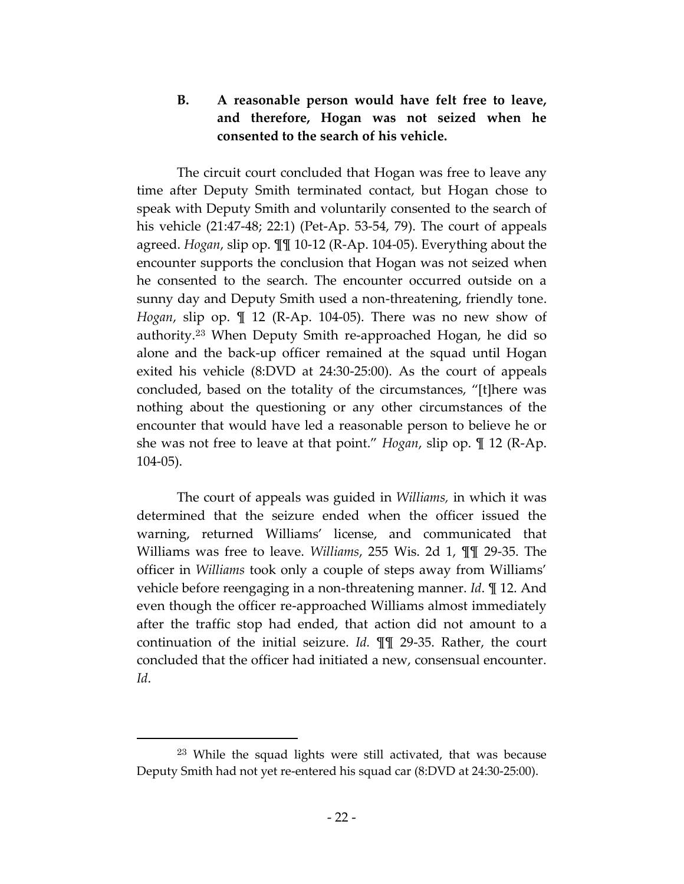# **B. A reasonable person would have felt free to leave, and therefore, Hogan was not seized when he consented to the search of his vehicle.**

The circuit court concluded that Hogan was free to leave any time after Deputy Smith terminated contact, but Hogan chose to speak with Deputy Smith and voluntarily consented to the search of his vehicle (21:47-48; 22:1) (Pet-Ap. 53-54, 79). The court of appeals agreed. *Hogan*, slip op. ¶¶ 10-12 (R-Ap. 104-05). Everything about the encounter supports the conclusion that Hogan was not seized when he consented to the search. The encounter occurred outside on a sunny day and Deputy Smith used a non-threatening, friendly tone. *Hogan*, slip op. ¶ 12 (R-Ap. 104-05). There was no new show of authority.<sup>23</sup> When Deputy Smith re-approached Hogan, he did so alone and the back-up officer remained at the squad until Hogan exited his vehicle (8:DVD at 24:30-25:00). As the court of appeals concluded, based on the totality of the circumstances, "[t]here was nothing about the questioning or any other circumstances of the encounter that would have led a reasonable person to believe he or she was not free to leave at that point." *Hogan*, slip op. ¶ 12 (R-Ap. 104-05).

The court of appeals was guided in *Williams,* in which it was determined that the seizure ended when the officer issued the warning, returned Williams' license, and communicated that Williams was free to leave. *Williams*, 255 Wis. 2d 1, ¶¶ 29-35. The officer in *Williams* took only a couple of steps away from Williams' vehicle before reengaging in a non-threatening manner. *Id*. ¶ 12. And even though the officer re-approached Williams almost immediately after the traffic stop had ended, that action did not amount to a continuation of the initial seizure. *Id.* ¶¶ 29-35. Rather, the court concluded that the officer had initiated a new, consensual encounter. *Id*.

<sup>23</sup> While the squad lights were still activated, that was because Deputy Smith had not yet re-entered his squad car (8:DVD at 24:30-25:00).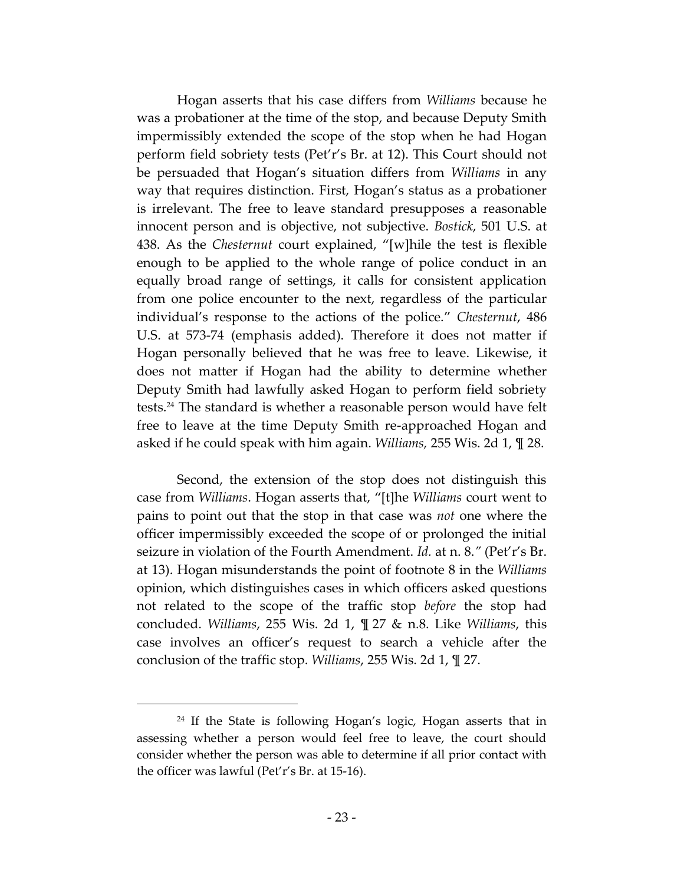Hogan asserts that his case differs from *Williams* because he was a probationer at the time of the stop, and because Deputy Smith impermissibly extended the scope of the stop when he had Hogan perform field sobriety tests (Pet'r's Br. at 12). This Court should not be persuaded that Hogan's situation differs from *Williams* in any way that requires distinction. First, Hogan's status as a probationer is irrelevant. The free to leave standard presupposes a reasonable innocent person and is objective, not subjective. *Bostick*, 501 U.S. at 438. As the *Chesternut* court explained, "[w]hile the test is flexible enough to be applied to the whole range of police conduct in an equally broad range of settings, it calls for consistent application from one police encounter to the next, regardless of the particular individual's response to the actions of the police." *Chesternut*, 486 U.S. at 573-74 (emphasis added). Therefore it does not matter if Hogan personally believed that he was free to leave. Likewise, it does not matter if Hogan had the ability to determine whether Deputy Smith had lawfully asked Hogan to perform field sobriety tests.<sup>24</sup> The standard is whether a reasonable person would have felt free to leave at the time Deputy Smith re-approached Hogan and asked if he could speak with him again. *Williams,* 255 Wis. 2d 1, ¶ 28.

Second, the extension of the stop does not distinguish this case from *Williams*. Hogan asserts that, "[t]he *Williams* court went to pains to point out that the stop in that case was *not* one where the officer impermissibly exceeded the scope of or prolonged the initial seizure in violation of the Fourth Amendment. *Id.* at n. 8.*"* (Pet'r's Br. at 13). Hogan misunderstands the point of footnote 8 in the *Williams*  opinion, which distinguishes cases in which officers asked questions not related to the scope of the traffic stop *before* the stop had concluded. *Williams*, 255 Wis. 2d 1, ¶ 27 & n.8. Like *Williams*, this case involves an officer's request to search a vehicle after the conclusion of the traffic stop. *Williams*, 255 Wis. 2d 1, ¶ 27.

<sup>&</sup>lt;sup>24</sup> If the State is following Hogan's logic, Hogan asserts that in assessing whether a person would feel free to leave, the court should consider whether the person was able to determine if all prior contact with the officer was lawful (Pet'r's Br. at 15-16).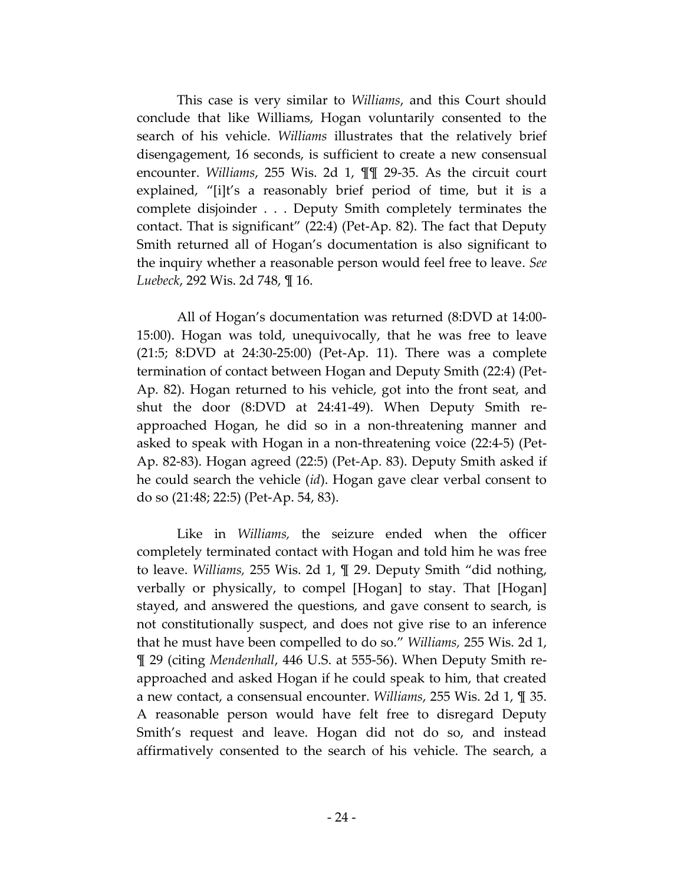This case is very similar to *Williams*, and this Court should conclude that like Williams, Hogan voluntarily consented to the search of his vehicle. *Williams* illustrates that the relatively brief disengagement, 16 seconds, is sufficient to create a new consensual encounter. *Williams*, 255 Wis. 2d 1, ¶¶ 29-35. As the circuit court explained, "[i]t's a reasonably brief period of time, but it is a complete disjoinder . . . Deputy Smith completely terminates the contact. That is significant" (22:4) (Pet-Ap. 82). The fact that Deputy Smith returned all of Hogan's documentation is also significant to the inquiry whether a reasonable person would feel free to leave. *See Luebeck*, 292 Wis. 2d 748, ¶ 16.

All of Hogan's documentation was returned (8:DVD at 14:00- 15:00). Hogan was told, unequivocally, that he was free to leave (21:5; 8:DVD at 24:30-25:00) (Pet-Ap. 11). There was a complete termination of contact between Hogan and Deputy Smith (22:4) (Pet-Ap. 82). Hogan returned to his vehicle, got into the front seat, and shut the door (8:DVD at 24:41-49). When Deputy Smith reapproached Hogan, he did so in a non-threatening manner and asked to speak with Hogan in a non-threatening voice (22:4-5) (Pet-Ap. 82-83). Hogan agreed (22:5) (Pet-Ap. 83). Deputy Smith asked if he could search the vehicle (*id*). Hogan gave clear verbal consent to do so (21:48; 22:5) (Pet-Ap. 54, 83).

Like in *Williams,* the seizure ended when the officer completely terminated contact with Hogan and told him he was free to leave. *Williams,* 255 Wis. 2d 1, ¶ 29. Deputy Smith "did nothing, verbally or physically, to compel [Hogan] to stay. That [Hogan] stayed, and answered the questions, and gave consent to search, is not constitutionally suspect, and does not give rise to an inference that he must have been compelled to do so." *Williams,* 255 Wis. 2d 1, ¶ 29 (citing *Mendenhall*, 446 U.S. at 555-56). When Deputy Smith reapproached and asked Hogan if he could speak to him, that created a new contact, a consensual encounter. *Williams*, 255 Wis. 2d 1, ¶ 35. A reasonable person would have felt free to disregard Deputy Smith's request and leave. Hogan did not do so, and instead affirmatively consented to the search of his vehicle. The search, a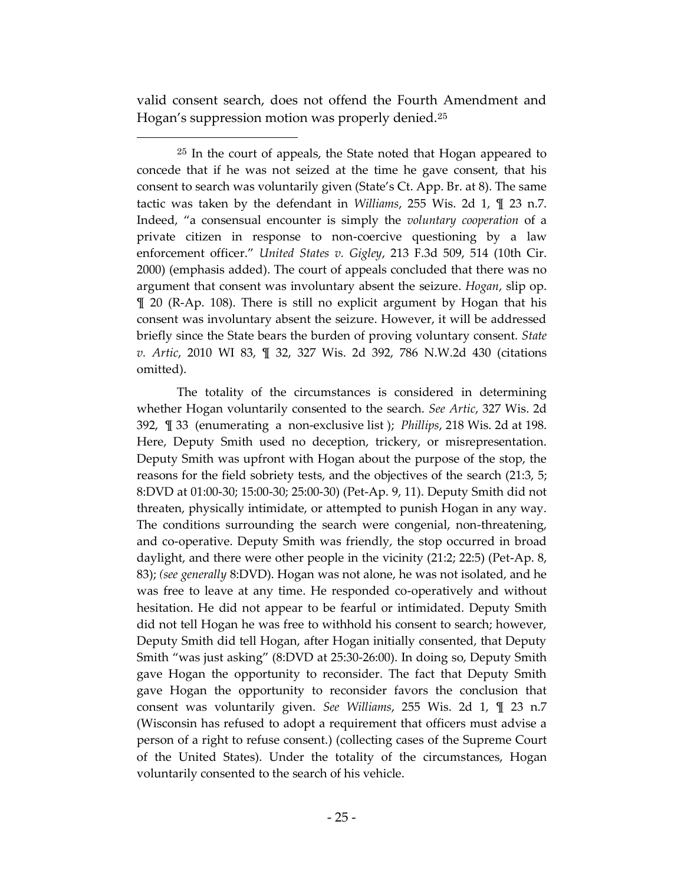valid consent search, does not offend the Fourth Amendment and Hogan's suppression motion was properly denied.<sup>25</sup>

 $\overline{a}$ 

<sup>25</sup> In the court of appeals, the State noted that Hogan appeared to concede that if he was not seized at the time he gave consent, that his consent to search was voluntarily given (State's Ct. App. Br. at 8). The same tactic was taken by the defendant in *Williams*, 255 Wis. 2d 1, ¶ 23 n.7. Indeed, "a consensual encounter is simply the *voluntary cooperation* of a private citizen in response to non-coercive questioning by a law enforcement officer." *United States v. Gigley*, 213 F.3d 509, 514 (10th Cir. 2000) (emphasis added). The court of appeals concluded that there was no argument that consent was involuntary absent the seizure. *Hogan*, slip op. ¶ 20 (R-Ap. 108). There is still no explicit argument by Hogan that his consent was involuntary absent the seizure. However, it will be addressed briefly since the State bears the burden of proving voluntary consent. *State v. Artic*, 2010 WI 83, ¶ 32, 327 Wis. 2d 392, 786 N.W.2d 430 (citations omitted).

The totality of the circumstances is considered in determining whether Hogan voluntarily consented to the search. *See Artic*, 327 Wis. 2d 392, ¶ 33 (enumerating a non-exclusive list ); *Phillips*, 218 Wis. 2d at 198. Here, Deputy Smith used no deception, trickery, or misrepresentation. Deputy Smith was upfront with Hogan about the purpose of the stop, the reasons for the field sobriety tests, and the objectives of the search (21:3, 5; 8:DVD at 01:00-30; 15:00-30; 25:00-30) (Pet-Ap. 9, 11). Deputy Smith did not threaten, physically intimidate, or attempted to punish Hogan in any way. The conditions surrounding the search were congenial, non-threatening, and co-operative. Deputy Smith was friendly, the stop occurred in broad daylight, and there were other people in the vicinity (21:2; 22:5) (Pet-Ap. 8, 83); *(see generally* 8:DVD). Hogan was not alone, he was not isolated, and he was free to leave at any time. He responded co-operatively and without hesitation. He did not appear to be fearful or intimidated. Deputy Smith did not tell Hogan he was free to withhold his consent to search; however, Deputy Smith did tell Hogan, after Hogan initially consented, that Deputy Smith "was just asking" (8:DVD at 25:30-26:00). In doing so, Deputy Smith gave Hogan the opportunity to reconsider. The fact that Deputy Smith gave Hogan the opportunity to reconsider favors the conclusion that consent was voluntarily given. *See Williams*, 255 Wis. 2d 1, ¶ 23 n.7 (Wisconsin has refused to adopt a requirement that officers must advise a person of a right to refuse consent.) (collecting cases of the Supreme Court of the United States). Under the totality of the circumstances, Hogan voluntarily consented to the search of his vehicle.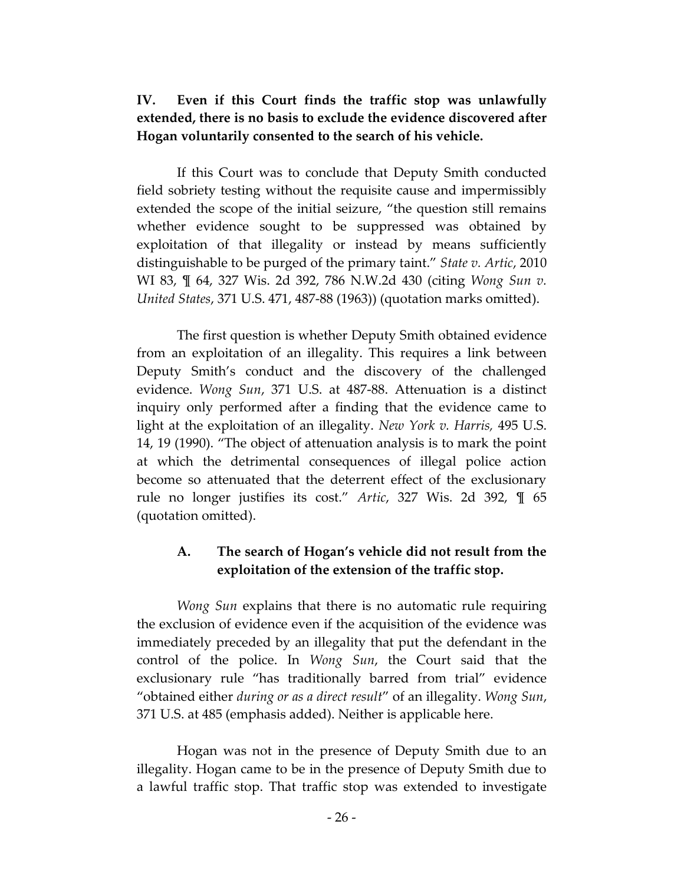# **IV. Even if this Court finds the traffic stop was unlawfully extended, there is no basis to exclude the evidence discovered after Hogan voluntarily consented to the search of his vehicle.**

If this Court was to conclude that Deputy Smith conducted field sobriety testing without the requisite cause and impermissibly extended the scope of the initial seizure, "the question still remains whether evidence sought to be suppressed was obtained by exploitation of that illegality or instead by means sufficiently distinguishable to be purged of the primary taint." *State v. Artic*, 2010 WI 83, ¶ 64, 327 Wis. 2d 392, 786 N.W.2d 430 (citing *Wong Sun v. United States*, 371 U.S. 471, 487-88 (1963)) (quotation marks omitted).

The first question is whether Deputy Smith obtained evidence from an exploitation of an illegality. This requires a link between Deputy Smith's conduct and the discovery of the challenged evidence. *Wong Sun*, 371 U.S. at 487-88. Attenuation is a distinct inquiry only performed after a finding that the evidence came to light at the exploitation of an illegality. *New York v. Harris,* 495 U.S. 14, 19 (1990). "The object of attenuation analysis is to mark the point at which the detrimental consequences of illegal police action become so attenuated that the deterrent effect of the exclusionary rule no longer justifies its cost." *Artic*, 327 Wis. 2d 392, ¶ 65 (quotation omitted).

# **A. The search of Hogan's vehicle did not result from the exploitation of the extension of the traffic stop.**

*Wong Sun* explains that there is no automatic rule requiring the exclusion of evidence even if the acquisition of the evidence was immediately preceded by an illegality that put the defendant in the control of the police. In *Wong Sun*, the Court said that the exclusionary rule "has traditionally barred from trial" evidence "obtained either *during or as a direct result*" of an illegality. *Wong Sun*, 371 U.S. at 485 (emphasis added). Neither is applicable here.

Hogan was not in the presence of Deputy Smith due to an illegality. Hogan came to be in the presence of Deputy Smith due to a lawful traffic stop. That traffic stop was extended to investigate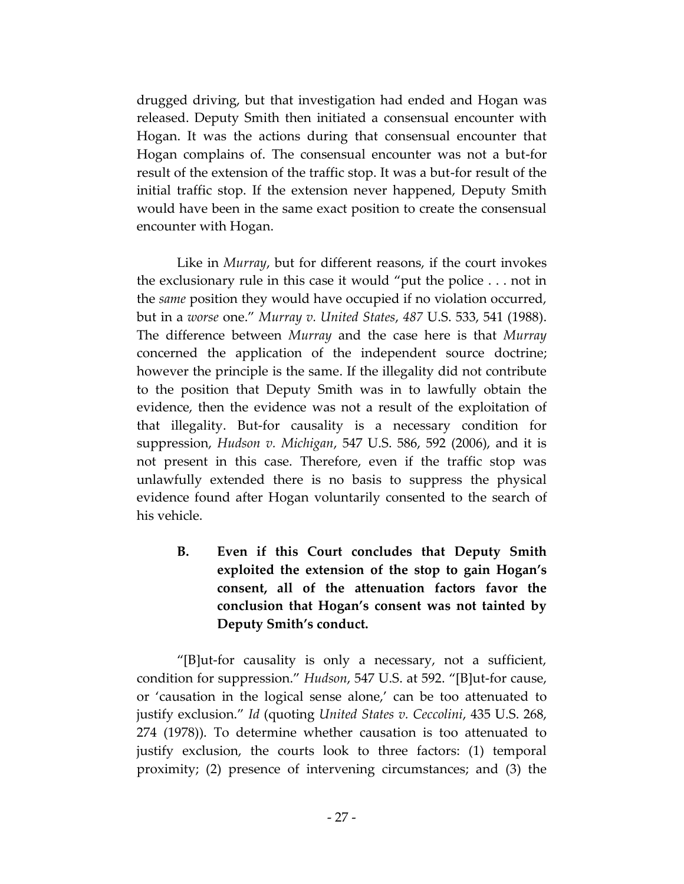drugged driving, but that investigation had ended and Hogan was released. Deputy Smith then initiated a consensual encounter with Hogan. It was the actions during that consensual encounter that Hogan complains of. The consensual encounter was not a but-for result of the extension of the traffic stop. It was a but-for result of the initial traffic stop. If the extension never happened, Deputy Smith would have been in the same exact position to create the consensual encounter with Hogan.

Like in *Murray*, but for different reasons, if the court invokes the exclusionary rule in this case it would "put the police . . . not in the *same* position they would have occupied if no violation occurred, but in a *worse* one." *Murray v. United States*, *487* U.S. 533, 541 (1988). The difference between *Murray* and the case here is that *Murray* concerned the application of the independent source doctrine; however the principle is the same. If the illegality did not contribute to the position that Deputy Smith was in to lawfully obtain the evidence, then the evidence was not a result of the exploitation of that illegality. But-for causality is a necessary condition for suppression, *Hudson v. Michigan*, 547 U.S. 586, 592 (2006), and it is not present in this case. Therefore, even if the traffic stop was unlawfully extended there is no basis to suppress the physical evidence found after Hogan voluntarily consented to the search of his vehicle.

**B. Even if this Court concludes that Deputy Smith exploited the extension of the stop to gain Hogan's consent, all of the attenuation factors favor the conclusion that Hogan's consent was not tainted by Deputy Smith's conduct.** 

"[B]ut-for causality is only a necessary, not a sufficient, condition for suppression." *Hudson*, 547 U.S. at 592. "[B]ut-for cause, or 'causation in the logical sense alone,' can be too attenuated to justify exclusion." *Id* (quoting *United States v. Ceccolini*, 435 U.S. 268, 274 (1978)). To determine whether causation is too attenuated to justify exclusion, the courts look to three factors: (1) temporal proximity; (2) presence of intervening circumstances; and (3) the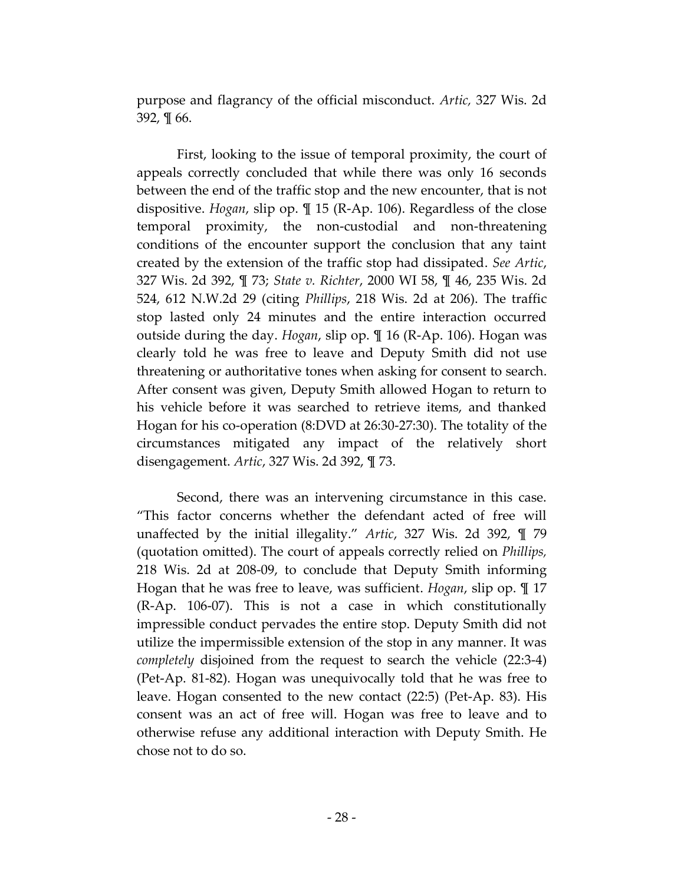purpose and flagrancy of the official misconduct. *Artic,* 327 Wis. 2d 392, ¶ 66.

First, looking to the issue of temporal proximity, the court of appeals correctly concluded that while there was only 16 seconds between the end of the traffic stop and the new encounter, that is not dispositive. *Hogan*, slip op. ¶ 15 (R-Ap. 106). Regardless of the close temporal proximity, the non-custodial and non-threatening conditions of the encounter support the conclusion that any taint created by the extension of the traffic stop had dissipated. *See Artic*, 327 Wis. 2d 392, ¶ 73; *State v. Richter*, 2000 WI 58, ¶ 46, 235 Wis. 2d 524, 612 N.W.2d 29 (citing *Phillips*, 218 Wis. 2d at 206). The traffic stop lasted only 24 minutes and the entire interaction occurred outside during the day. *Hogan*, slip op. ¶ 16 (R-Ap. 106). Hogan was clearly told he was free to leave and Deputy Smith did not use threatening or authoritative tones when asking for consent to search. After consent was given, Deputy Smith allowed Hogan to return to his vehicle before it was searched to retrieve items, and thanked Hogan for his co-operation (8:DVD at 26:30-27:30). The totality of the circumstances mitigated any impact of the relatively short disengagement. *Artic*, 327 Wis. 2d 392, ¶ 73.

Second, there was an intervening circumstance in this case. "This factor concerns whether the defendant acted of free will unaffected by the initial illegality." *Artic*, 327 Wis. 2d 392, ¶ 79 (quotation omitted). The court of appeals correctly relied on *Phillips,* 218 Wis. 2d at 208-09, to conclude that Deputy Smith informing Hogan that he was free to leave, was sufficient. *Hogan*, slip op. ¶ 17 (R-Ap. 106-07). This is not a case in which constitutionally impressible conduct pervades the entire stop. Deputy Smith did not utilize the impermissible extension of the stop in any manner. It was *completely* disjoined from the request to search the vehicle (22:3-4) (Pet-Ap. 81-82). Hogan was unequivocally told that he was free to leave. Hogan consented to the new contact (22:5) (Pet-Ap. 83). His consent was an act of free will. Hogan was free to leave and to otherwise refuse any additional interaction with Deputy Smith. He chose not to do so.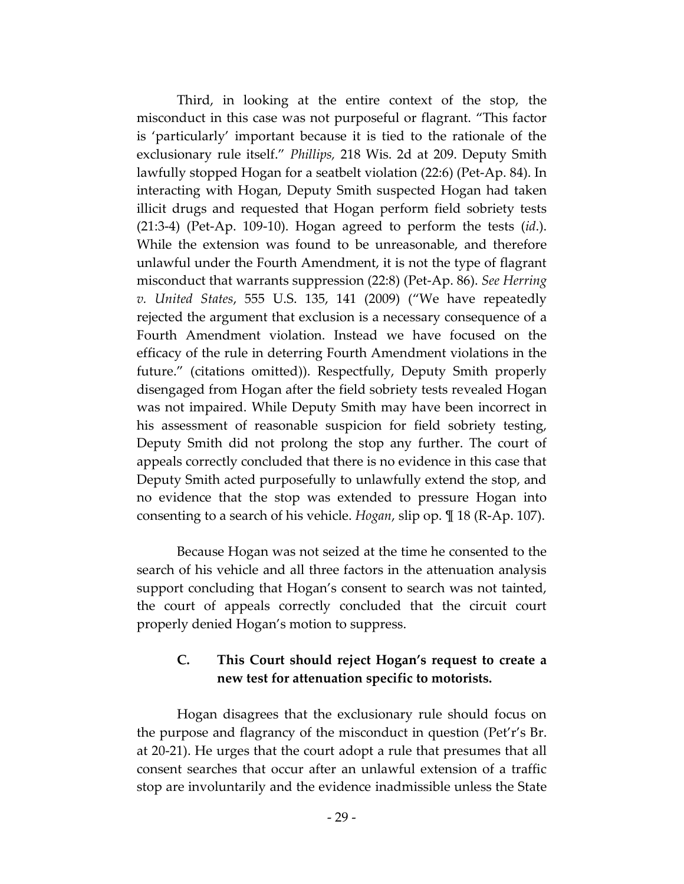Third, in looking at the entire context of the stop, the misconduct in this case was not purposeful or flagrant. "This factor is 'particularly' important because it is tied to the rationale of the exclusionary rule itself." *Phillips,* 218 Wis. 2d at 209. Deputy Smith lawfully stopped Hogan for a seatbelt violation (22:6) (Pet-Ap. 84). In interacting with Hogan, Deputy Smith suspected Hogan had taken illicit drugs and requested that Hogan perform field sobriety tests (21:3-4) (Pet-Ap. 109-10). Hogan agreed to perform the tests (*id*.). While the extension was found to be unreasonable, and therefore unlawful under the Fourth Amendment, it is not the type of flagrant misconduct that warrants suppression (22:8) (Pet-Ap. 86). *See Herring v. United States*, 555 U.S. 135, 141 (2009) ("We have repeatedly rejected the argument that exclusion is a necessary consequence of a Fourth Amendment violation. Instead we have focused on the efficacy of the rule in deterring Fourth Amendment violations in the future." (citations omitted)). Respectfully, Deputy Smith properly disengaged from Hogan after the field sobriety tests revealed Hogan was not impaired. While Deputy Smith may have been incorrect in his assessment of reasonable suspicion for field sobriety testing, Deputy Smith did not prolong the stop any further. The court of appeals correctly concluded that there is no evidence in this case that Deputy Smith acted purposefully to unlawfully extend the stop, and no evidence that the stop was extended to pressure Hogan into consenting to a search of his vehicle. *Hogan*, slip op. ¶ 18 (R-Ap. 107).

Because Hogan was not seized at the time he consented to the search of his vehicle and all three factors in the attenuation analysis support concluding that Hogan's consent to search was not tainted, the court of appeals correctly concluded that the circuit court properly denied Hogan's motion to suppress.

# **C. This Court should reject Hogan's request to create a new test for attenuation specific to motorists.**

Hogan disagrees that the exclusionary rule should focus on the purpose and flagrancy of the misconduct in question (Pet'r's Br. at 20-21). He urges that the court adopt a rule that presumes that all consent searches that occur after an unlawful extension of a traffic stop are involuntarily and the evidence inadmissible unless the State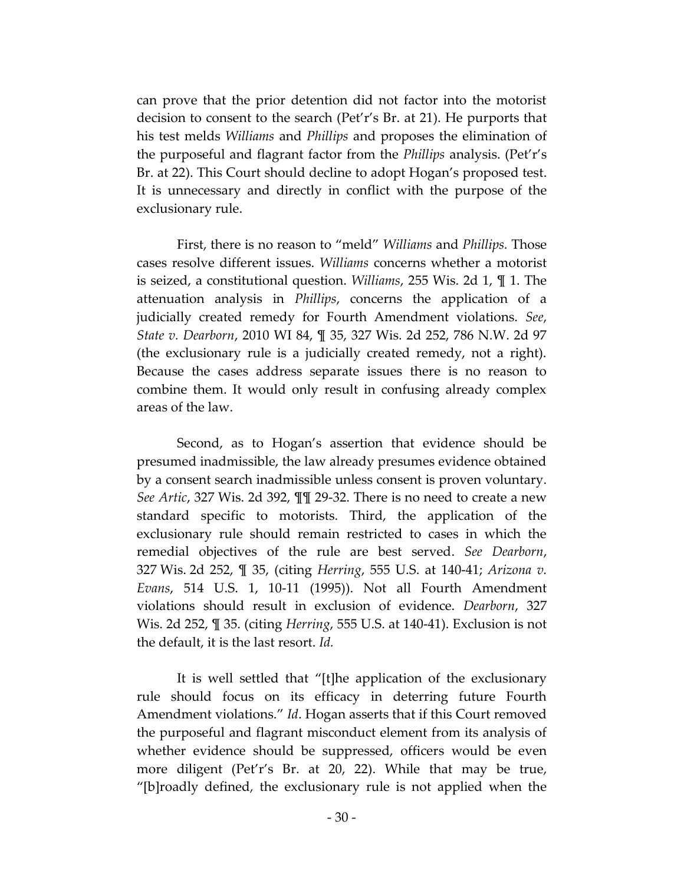can prove that the prior detention did not factor into the motorist decision to consent to the search (Pet'r's Br. at 21). He purports that his test melds *Williams* and *Phillips* and proposes the elimination of the purposeful and flagrant factor from the *Phillips* analysis. (Pet'r's Br. at 22). This Court should decline to adopt Hogan's proposed test. It is unnecessary and directly in conflict with the purpose of the exclusionary rule.

First, there is no reason to "meld" *Williams* and *Phillips.* Those cases resolve different issues. *Williams* concerns whether a motorist is seized, a constitutional question. *Williams*, 255 Wis. 2d 1, ¶ 1. The attenuation analysis in *Phillips*, concerns the application of a judicially created remedy for Fourth Amendment violations. *See*, *State v. Dearborn*, 2010 WI 84, ¶ 35, 327 Wis. 2d 252, 786 N.W. 2d 97 (the exclusionary rule is a judicially created remedy, not a right). Because the cases address separate issues there is no reason to combine them. It would only result in confusing already complex areas of the law.

Second, as to Hogan's assertion that evidence should be presumed inadmissible, the law already presumes evidence obtained by a consent search inadmissible unless consent is proven voluntary. *See Artic*, 327 Wis. 2d 392, ¶¶ 29-32. There is no need to create a new standard specific to motorists. Third, the application of the exclusionary rule should remain restricted to cases in which the remedial objectives of the rule are best served. *See Dearborn*, 327 Wis. 2d 252, ¶ 35, (citing *Herring*, 555 U.S. at 140-41; *Arizona v. Evans*, 514 U.S. 1, 10-11 (1995)). Not all Fourth Amendment violations should result in exclusion of evidence. *Dearborn*, 327 Wis. 2d 252, ¶ 35. (citing *Herring*, 555 U.S. at 140-41). Exclusion is not the default, it is the last resort. *Id.*

It is well settled that "[t]he application of the exclusionary rule should focus on its efficacy in deterring future Fourth Amendment violations." *Id*. Hogan asserts that if this Court removed the purposeful and flagrant misconduct element from its analysis of whether evidence should be suppressed, officers would be even more diligent (Pet'r's Br. at 20, 22). While that may be true, "[b]roadly defined, the exclusionary rule is not applied when the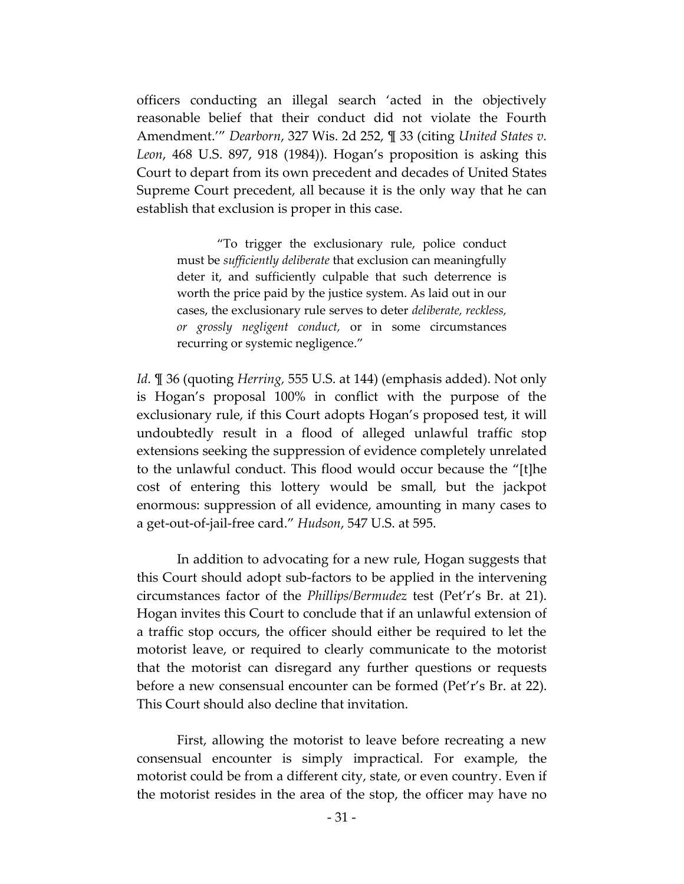officers conducting an illegal search 'acted in the objectively reasonable belief that their conduct did not violate the Fourth Amendment.'" *Dearborn*, 327 Wis. 2d 252, ¶ 33 (citing *United States v. Leon*, 468 U.S. 897, 918 (1984)). Hogan's proposition is asking this Court to depart from its own precedent and decades of United States Supreme Court precedent, all because it is the only way that he can establish that exclusion is proper in this case.

"To trigger the exclusionary rule, police conduct must be *sufficiently deliberate* that exclusion can meaningfully deter it, and sufficiently culpable that such deterrence is worth the price paid by the justice system. As laid out in our cases, the exclusionary rule serves to deter *deliberate, reckless, or grossly negligent conduct,* or in some circumstances recurring or systemic negligence."

*Id.* ¶ 36 (quoting *Herring,* 555 U.S. at 144) (emphasis added). Not only is Hogan's proposal 100% in conflict with the purpose of the exclusionary rule, if this Court adopts Hogan's proposed test, it will undoubtedly result in a flood of alleged unlawful traffic stop extensions seeking the suppression of evidence completely unrelated to the unlawful conduct. This flood would occur because the "[t]he cost of entering this lottery would be small, but the jackpot enormous: suppression of all evidence, amounting in many cases to a get-out-of-jail-free card." *Hudson*, 547 U.S. at 595.

In addition to advocating for a new rule, Hogan suggests that this Court should adopt sub-factors to be applied in the intervening circumstances factor of the *Phillips/Bermudez* test (Pet'r's Br. at 21). Hogan invites this Court to conclude that if an unlawful extension of a traffic stop occurs, the officer should either be required to let the motorist leave, or required to clearly communicate to the motorist that the motorist can disregard any further questions or requests before a new consensual encounter can be formed (Pet'r's Br. at 22). This Court should also decline that invitation.

First, allowing the motorist to leave before recreating a new consensual encounter is simply impractical. For example, the motorist could be from a different city, state, or even country. Even if the motorist resides in the area of the stop, the officer may have no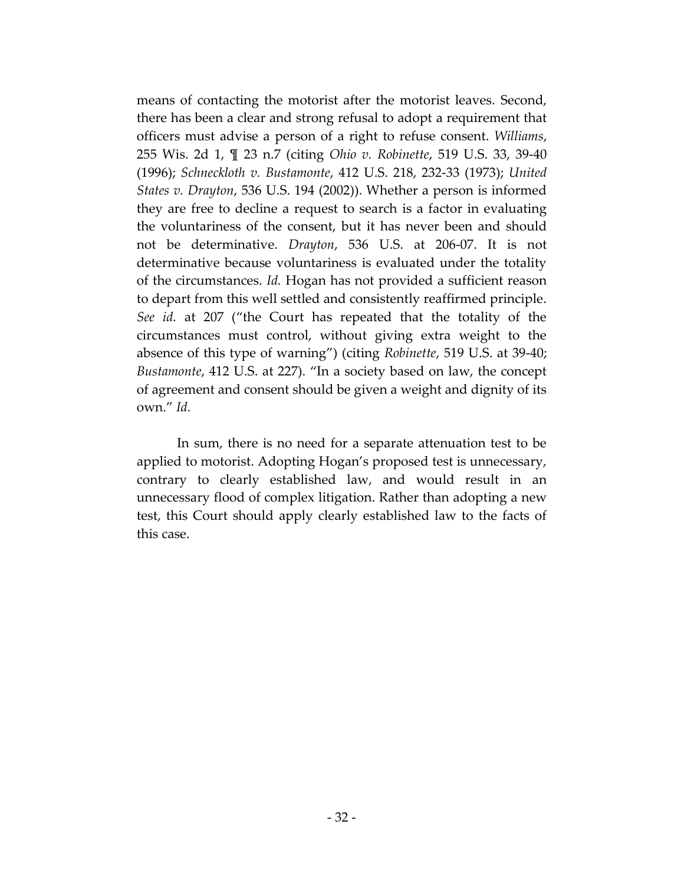means of contacting the motorist after the motorist leaves. Second, there has been a clear and strong refusal to adopt a requirement that officers must advise a person of a right to refuse consent. *Williams*, 255 Wis. 2d 1, ¶ 23 n.7 (citing *Ohio v. Robinette*, 519 U.S. 33, 39-40 (1996); *Schneckloth v. Bustamonte*, 412 U.S. 218, 232-33 (1973); *United States v. Drayton*, 536 U.S. 194 (2002)). Whether a person is informed they are free to decline a request to search is a factor in evaluating the voluntariness of the consent, but it has never been and should not be determinative. *Drayton*, 536 U.S. at 206-07. It is not determinative because voluntariness is evaluated under the totality of the circumstances. *Id.* Hogan has not provided a sufficient reason to depart from this well settled and consistently reaffirmed principle. *See id.* at 207 ("the Court has repeated that the totality of the circumstances must control, without giving extra weight to the absence of this type of warning") (citing *Robinette*, 519 U.S. at 39-40; *Bustamonte*, 412 U.S. at 227). "In a society based on law, the concept of agreement and consent should be given a weight and dignity of its own." *Id.*

In sum, there is no need for a separate attenuation test to be applied to motorist. Adopting Hogan's proposed test is unnecessary, contrary to clearly established law, and would result in an unnecessary flood of complex litigation. Rather than adopting a new test, this Court should apply clearly established law to the facts of this case.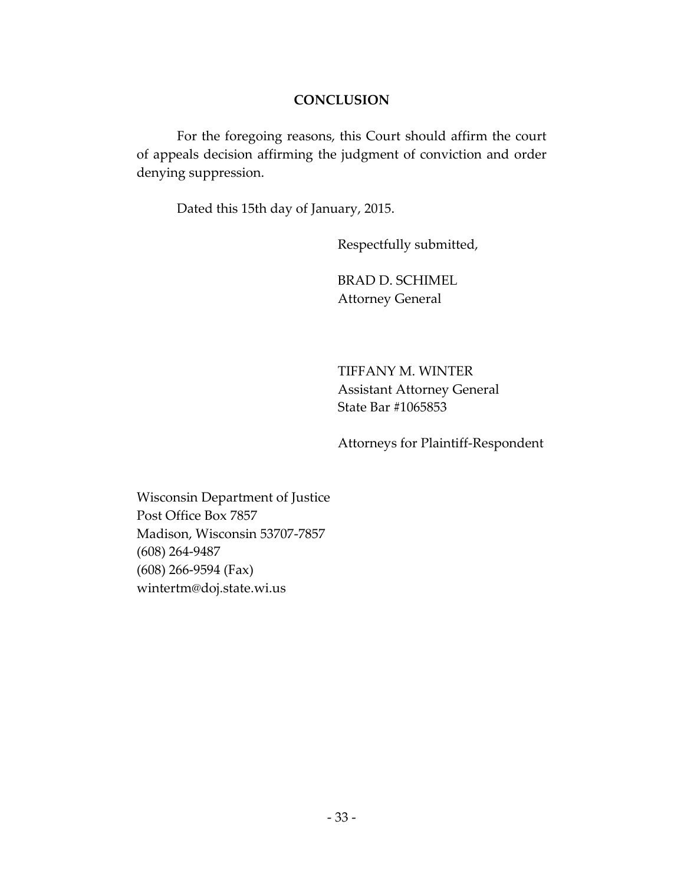### **CONCLUSION**

For the foregoing reasons, this Court should affirm the court of appeals decision affirming the judgment of conviction and order denying suppression.

Dated this 15th day of January, 2015.

Respectfully submitted,

BRAD D. SCHIMEL Attorney General

TIFFANY M. WINTER Assistant Attorney General State Bar #1065853

Attorneys for Plaintiff-Respondent

Wisconsin Department of Justice Post Office Box 7857 Madison, Wisconsin 53707-7857 (608) 264-9487 (608) 266-9594 (Fax) wintertm@doj.state.wi.us